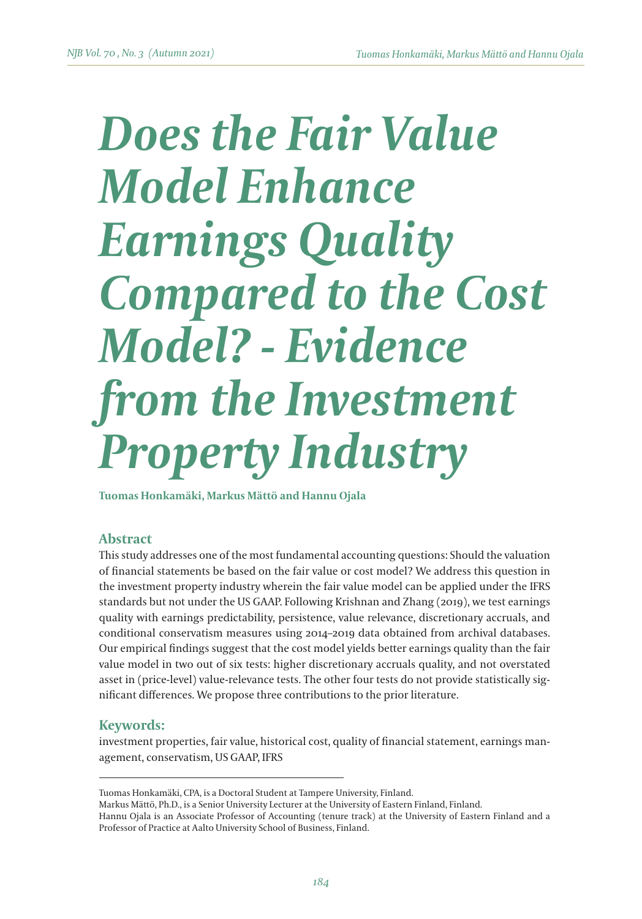# *Does the Fair Value Model Enhance Earnings Quality Compared to the Cost Model? - Evidence from the Investment Property Industry*

**Tuomas Honkamäki, Markus Mättö and Hannu Ojala**

## **Abstract**

This study addresses one of the most fundamental accounting questions: Should the valuation of financial statements be based on the fair value or cost model? We address this question in the investment property industry wherein the fair value model can be applied under the IFRS standards but not under the US GAAP. Following Krishnan and Zhang (2019), we test earnings quality with earnings predictability, persistence, value relevance, discretionary accruals, and conditional conservatism measures using 2014–2019 data obtained from archival databases. Our empirical findings suggest that the cost model yields better earnings quality than the fair value model in two out of six tests: higher discretionary accruals quality, and not overstated asset in (price-level) value-relevance tests. The other four tests do not provide statistically significant differences. We propose three contributions to the prior literature.

## **Keywords:**

investment properties, fair value, historical cost, quality of financial statement, earnings management, conservatism, US GAAP, IFRS

Tuomas Honkamäki, CPA, is a Doctoral Student at Tampere University, Finland.

Markus Mättö, Ph.D., is a Senior University Lecturer at the University of Eastern Finland, Finland. Hannu Ojala is an Associate Professor of Accounting (tenure track) at the University of Eastern Finland and a Professor of Practice at Aalto University School of Business, Finland.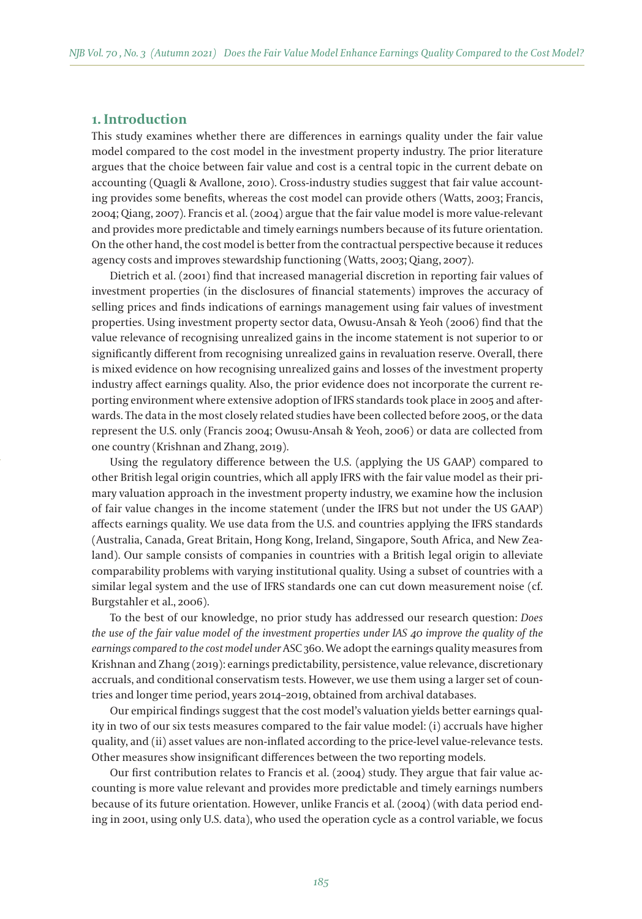## **1. Introduction**

This study examines whether there are differences in earnings quality under the fair value model compared to the cost model in the investment property industry. The prior literature argues that the choice between fair value and cost is a central topic in the current debate on accounting (Quagli & Avallone, 2010). Cross-industry studies suggest that fair value accounting provides some benefits, whereas the cost model can provide others (Watts, 2003; Francis, 2004; Qiang, 2007). Francis et al. (2004) argue that the fair value model is more value-relevant and provides more predictable and timely earnings numbers because of its future orientation. On the other hand, the cost model is better from the contractual perspective because it reduces agency costs and improves stewardship functioning (Watts, 2003; Qiang, 2007).

Dietrich et al. (2001) find that increased managerial discretion in reporting fair values of investment properties (in the disclosures of financial statements) improves the accuracy of selling prices and finds indications of earnings management using fair values of investment properties. Using investment property sector data, Owusu-Ansah & Yeoh (2006) find that the value relevance of recognising unrealized gains in the income statement is not superior to or significantly different from recognising unrealized gains in revaluation reserve. Overall, there is mixed evidence on how recognising unrealized gains and losses of the investment property industry affect earnings quality. Also, the prior evidence does not incorporate the current reporting environment where extensive adoption of IFRS standards took place in 2005 and afterwards. The data in the most closely related studies have been collected before 2005, or the data represent the U.S. only (Francis 2004; Owusu-Ansah & Yeoh, 2006) or data are collected from one country (Krishnan and Zhang, 2019).

Using the regulatory difference between the U.S. (applying the US GAAP) compared to other British legal origin countries, which all apply IFRS with the fair value model as their primary valuation approach in the investment property industry, we examine how the inclusion of fair value changes in the income statement (under the IFRS but not under the US GAAP) affects earnings quality. We use data from the U.S. and countries applying the IFRS standards (Australia, Canada, Great Britain, Hong Kong, Ireland, Singapore, South Africa, and New Zealand). Our sample consists of companies in countries with a British legal origin to alleviate comparability problems with varying institutional quality. Using a subset of countries with a similar legal system and the use of IFRS standards one can cut down measurement noise (cf. Burgstahler et al., 2006).

To the best of our knowledge, no prior study has addressed our research question: *Does the use of the fair value model of the investment properties under IAS 40 improve the quality of the earnings compared to the cost model under* ASC 360. We adopt the earnings quality measures from Krishnan and Zhang (2019): earnings predictability, persistence, value relevance, discretionary accruals, and conditional conservatism tests. However, we use them using a larger set of countries and longer time period, years 2014–2019, obtained from archival databases.

Our empirical findings suggest that the cost model's valuation yields better earnings quality in two of our six tests measures compared to the fair value model: (i) accruals have higher quality, and (ii) asset values are non-inflated according to the price-level value-relevance tests. Other measures show insignificant differences between the two reporting models.

Our first contribution relates to Francis et al. (2004) study. They argue that fair value accounting is more value relevant and provides more predictable and timely earnings numbers because of its future orientation. However, unlike Francis et al. (2004) (with data period ending in 2001, using only U.S. data), who used the operation cycle as a control variable, we focus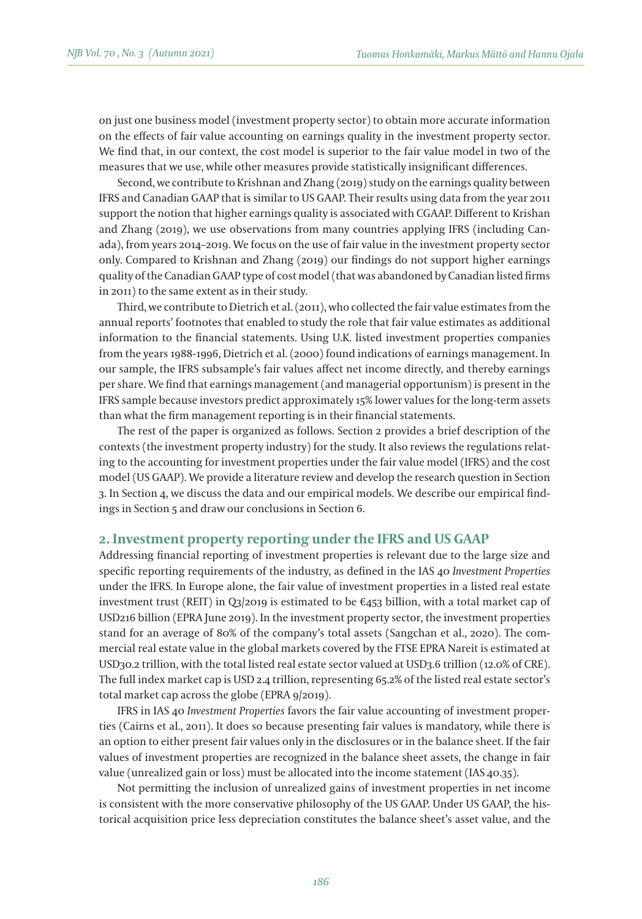on just one business model (investment property sector) to obtain more accurate information on the effects of fair value accounting on earnings quality in the investment property sector. We find that, in our context, the cost model is superior to the fair value model in two of the measures that we use, while other measures provide statistically insignificant differences.

Second, we contribute to Krishnan and Zhang (2019) study on the earnings quality between IFRS and Canadian GAAP that is similar to US GAAP. Their results using data from the year 2011 support the notion that higher earnings quality is associated with CGAAP. Different to Krishan and Zhang (2019), we use observations from many countries applying IFRS (including Canada), from years 2014–2019. We focus on the use of fair value in the investment property sector only. Compared to Krishnan and Zhang (2019) our findings do not support higher earnings quality of the Canadian GAAP type of cost model (that was abandoned by Canadian listed firms in 2011) to the same extent as in their study.

Third, we contribute to Dietrich et al. (2011), who collected the fair value estimates from the annual reports' footnotes that enabled to study the role that fair value estimates as additional information to the financial statements. Using U.K. listed investment properties companies from the years 1988-1996, Dietrich et al. (2000) found indications of earnings management. In our sample, the IFRS subsample's fair values affect net income directly, and thereby earnings per share. We find that earnings management (and managerial opportunism) is present in the IFRS sample because investors predict approximately 15% lower values for the long-term assets than what the firm management reporting is in their financial statements.

The rest of the paper is organized as follows. Section 2 provides a brief description of the contexts (the investment property industry) for the study. It also reviews the regulations relating to the accounting for investment properties under the fair value model (IFRS) and the cost model (US GAAP). We provide a literature review and develop the research question in Section 3. In Section 4, we discuss the data and our empirical models. We describe our empirical findings in Section 5 and draw our conclusions in Section 6.

#### **2. Investment property reporting under the IFRS and US GAAP**

Addressing financial reporting of investment properties is relevant due to the large size and specific reporting requirements of the industry, as defined in the IAS 40 *Investment Properties* under the IFRS. In Europe alone, the fair value of investment properties in a listed real estate investment trust (REIT) in Q3/2019 is estimated to be  $\epsilon$ 453 billion, with a total market cap of USD216 billion (EPRA June 2019). In the investment property sector, the investment properties stand for an average of 80% of the company's total assets (Sangchan et al., 2020). The commercial real estate value in the global markets covered by the FTSE EPRA Nareit is estimated at USD30.2 trillion, with the total listed real estate sector valued at USD3.6 trillion (12.0% of CRE). The full index market cap is USD 2.4 trillion, representing 65.2% of the listed real estate sector's total market cap across the globe (EPRA 9/2019).

IFRS in IAS 40 *Investment Properties* favors the fair value accounting of investment properties (Cairns et al., 2011). It does so because presenting fair values is mandatory, while there is an option to either present fair values only in the disclosures or in the balance sheet. If the fair values of investment properties are recognized in the balance sheet assets, the change in fair value (unrealized gain or loss) must be allocated into the income statement (IAS 40.35).

Not permitting the inclusion of unrealized gains of investment properties in net income is consistent with the more conservative philosophy of the US GAAP. Under US GAAP, the historical acquisition price less depreciation constitutes the balance sheet's asset value, and the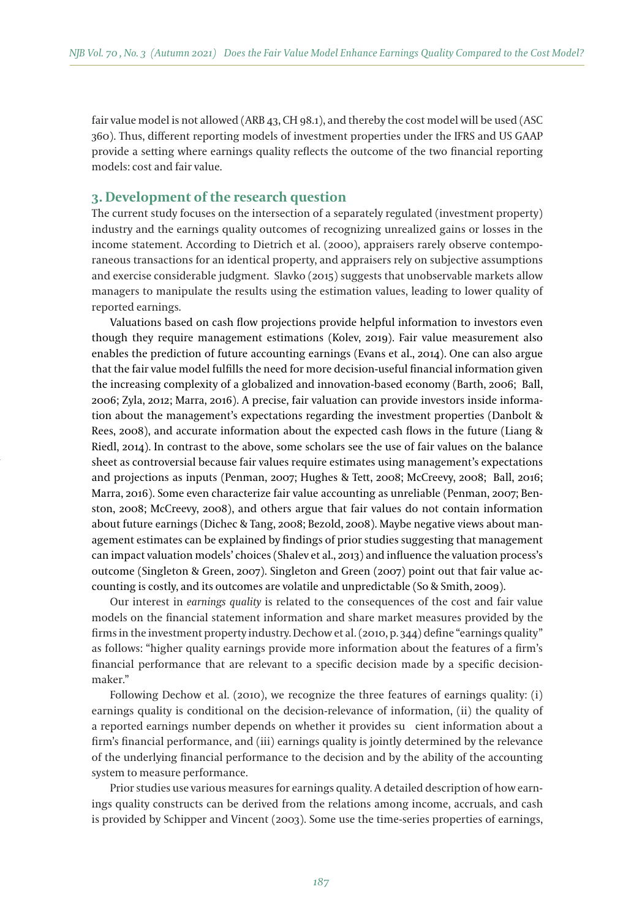fair value model is not allowed (ARB 43, CH 98.1), and thereby the cost model will be used (ASC 360). Thus, different reporting models of investment properties under the IFRS and US GAAP provide a setting where earnings quality reflects the outcome of the two financial reporting models: cost and fair value.

## **3. Development of the research question**

The current study focuses on the intersection of a separately regulated (investment property) industry and the earnings quality outcomes of recognizing unrealized gains or losses in the income statement. According to Dietrich et al. (2000), appraisers rarely observe contemporaneous transactions for an identical property, and appraisers rely on subjective assumptions and exercise considerable judgment. Slavko (2015) suggests that unobservable markets allow managers to manipulate the results using the estimation values, leading to lower quality of reported earnings.

Valuations based on cash flow projections provide helpful information to investors even though they require management estimations (Kolev, 2019). Fair value measurement also enables the prediction of future accounting earnings (Evans et al., 2014). One can also argue that the fair value model fulfills the need for more decision-useful financial information given the increasing complexity of a globalized and innovation-based economy (Barth, 2006; Ball, 2006; Zyla, 2012; Marra, 2016). A precise, fair valuation can provide investors inside information about the management's expectations regarding the investment properties (Danbolt & Rees, 2008), and accurate information about the expected cash flows in the future (Liang & Riedl, 2014). In contrast to the above, some scholars see the use of fair values on the balance sheet as controversial because fair values require estimates using management's expectations and projections as inputs (Penman, 2007; Hughes & Tett, 2008; McCreevy, 2008; Ball, 2016; Marra, 2016). Some even characterize fair value accounting as unreliable (Penman, 2007; Benston, 2008; McCreevy, 2008), and others argue that fair values do not contain information about future earnings (Dichec & Tang, 2008; Bezold, 2008). Maybe negative views about management estimates can be explained by findings of prior studies suggesting that management can impact valuation models' choices (Shalev et al., 2013) and influence the valuation process's outcome (Singleton & Green, 2007). Singleton and Green (2007) point out that fair value accounting is costly, and its outcomes are volatile and unpredictable (So & Smith, 2009).

Our interest in *earnings quality* is related to the consequences of the cost and fair value models on the financial statement information and share market measures provided by the firms in the investment property industry. Dechow et al. (2010, p. 344) define "earnings quality" as follows: "higher quality earnings provide more information about the features of a firm's financial performance that are relevant to a specific decision made by a specific decisionmaker."

Following Dechow et al. (2010), we recognize the three features of earnings quality: (i) earnings quality is conditional on the decision-relevance of information, (ii) the quality of a reported earnings number depends on whether it provides sucient information about a firm's financial performance, and (iii) earnings quality is jointly determined by the relevance of the underlying financial performance to the decision and by the ability of the accounting system to measure performance.

Prior studies use various measures for earnings quality. A detailed description of how earnings quality constructs can be derived from the relations among income, accruals, and cash is provided by Schipper and Vincent (2003). Some use the time-series properties of earnings,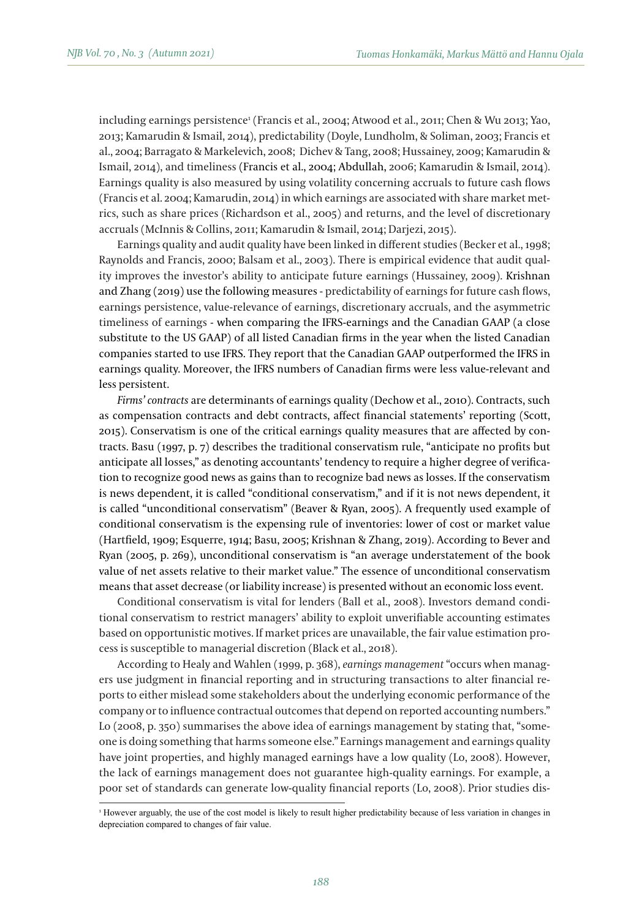including earnings persistence1 (Francis et al., 2004; Atwood et al., 2011; Chen & Wu 2013; Yao, 2013; Kamarudin & Ismail, 2014), predictability (Doyle, Lundholm, & Soliman, 2003; Francis et al., 2004; Barragato & Markelevich, 2008; Dichev & Tang, 2008; Hussainey, 2009; Kamarudin & Ismail, 2014), and timeliness (Francis et al., 2004; Abdullah, 2006; Kamarudin & Ismail, 2014). Earnings quality is also measured by using volatility concerning accruals to future cash flows (Francis et al. 2004; Kamarudin, 2014) in which earnings are associated with share market metrics, such as share prices (Richardson et al., 2005) and returns, and the level of discretionary accruals (McInnis & Collins, 2011; Kamarudin & Ismail, 2014; Darjezi, 2015).

Earnings quality and audit quality have been linked in different studies (Becker et al., 1998; Raynolds and Francis, 2000; Balsam et al., 2003). There is empirical evidence that audit quality improves the investor's ability to anticipate future earnings (Hussainey, 2009). Krishnan and Zhang (2019) use the following measures - predictability of earnings for future cash flows, earnings persistence, value-relevance of earnings, discretionary accruals, and the asymmetric timeliness of earnings - when comparing the IFRS-earnings and the Canadian GAAP (a close substitute to the US GAAP) of all listed Canadian firms in the year when the listed Canadian companies started to use IFRS. They report that the Canadian GAAP outperformed the IFRS in earnings quality. Moreover, the IFRS numbers of Canadian firms were less value-relevant and less persistent.

*Firms' contracts* are determinants of earnings quality (Dechow et al., 2010). Contracts, such as compensation contracts and debt contracts, affect financial statements' reporting (Scott, 2015). Conservatism is one of the critical earnings quality measures that are affected by contracts. Basu (1997, p. 7) describes the traditional conservatism rule, "anticipate no profits but anticipate all losses," as denoting accountants' tendency to require a higher degree of verification to recognize good news as gains than to recognize bad news as losses. If the conservatism is news dependent, it is called "conditional conservatism," and if it is not news dependent, it is called "unconditional conservatism" (Beaver & Ryan, 2005). A frequently used example of conditional conservatism is the expensing rule of inventories: lower of cost or market value (Hartfield, 1909; Esquerre, 1914; Basu, 2005; Krishnan & Zhang, 2019). According to Bever and Ryan (2005, p. 269), unconditional conservatism is "an average understatement of the book value of net assets relative to their market value." The essence of unconditional conservatism means that asset decrease (or liability increase) is presented without an economic loss event.

Conditional conservatism is vital for lenders (Ball et al., 2008). Investors demand conditional conservatism to restrict managers' ability to exploit unverifiable accounting estimates based on opportunistic motives. If market prices are unavailable, the fair value estimation process is susceptible to managerial discretion (Black et al., 2018).

According to Healy and Wahlen (1999, p. 368), *earnings management* "occurs when managers use judgment in financial reporting and in structuring transactions to alter financial reports to either mislead some stakeholders about the underlying economic performance of the company or to influence contractual outcomes that depend on reported accounting numbers." Lo (2008, p. 350) summarises the above idea of earnings management by stating that, "someone is doing something that harms someone else." Earnings management and earnings quality have joint properties, and highly managed earnings have a low quality (Lo, 2008). However, the lack of earnings management does not guarantee high-quality earnings. For example, a poor set of standards can generate low-quality financial reports (Lo, 2008). Prior studies dis-

<sup>1</sup> However arguably, the use of the cost model is likely to result higher predictability because of less variation in changes in depreciation compared to changes of fair value.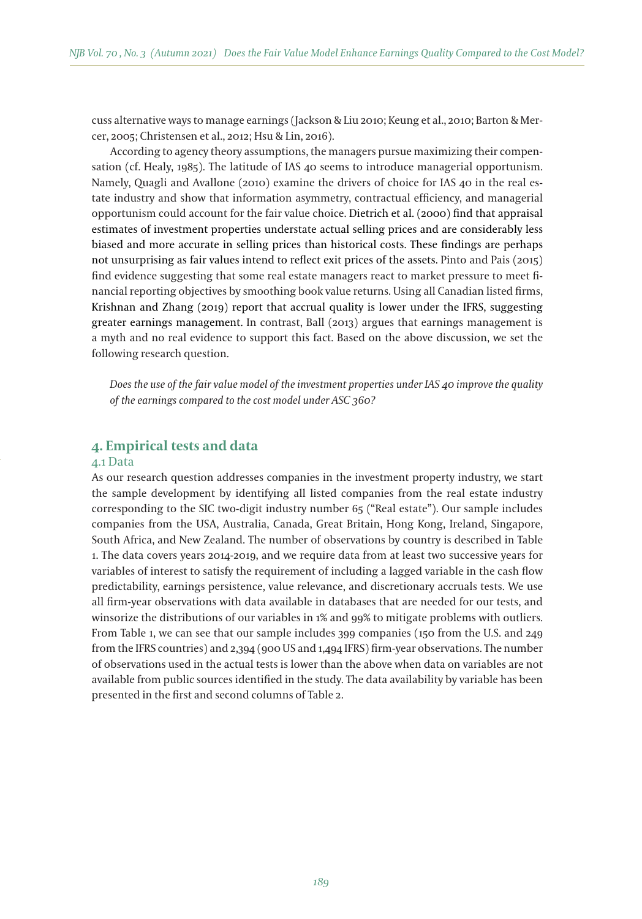cuss alternative ways to manage earnings (Jackson & Liu 2010; Keung et al., 2010; Barton & Mercer, 2005; Christensen et al., 2012; Hsu & Lin, 2016).

According to agency theory assumptions, the managers pursue maximizing their compensation (cf. Healy, 1985). The latitude of IAS 40 seems to introduce managerial opportunism. Namely, Quagli and Avallone (2010) examine the drivers of choice for IAS 40 in the real estate industry and show that information asymmetry, contractual efficiency, and managerial opportunism could account for the fair value choice. Dietrich et al. (2000) find that appraisal estimates of investment properties understate actual selling prices and are considerably less biased and more accurate in selling prices than historical costs. These findings are perhaps not unsurprising as fair values intend to reflect exit prices of the assets. Pinto and Pais (2015) find evidence suggesting that some real estate managers react to market pressure to meet financial reporting objectives by smoothing book value returns. Using all Canadian listed firms, Krishnan and Zhang (2019) report that accrual quality is lower under the IFRS, suggesting greater earnings management. In contrast, Ball (2013) argues that earnings management is a myth and no real evidence to support this fact. Based on the above discussion, we set the following research question.

*Does the use of the fair value model of the investment properties under IAS 40 improve the quality of the earnings compared to the cost model under ASC 360?*

## **4. Empirical tests and data**

## 4.1 Data

As our research question addresses companies in the investment property industry, we start the sample development by identifying all listed companies from the real estate industry corresponding to the SIC two-digit industry number 65 ("Real estate"). Our sample includes companies from the USA, Australia, Canada, Great Britain, Hong Kong, Ireland, Singapore, South Africa, and New Zealand. The number of observations by country is described in Table 1. The data covers years 2014-2019, and we require data from at least two successive years for variables of interest to satisfy the requirement of including a lagged variable in the cash flow predictability, earnings persistence, value relevance, and discretionary accruals tests. We use all firm-year observations with data available in databases that are needed for our tests, and winsorize the distributions of our variables in 1% and 99% to mitigate problems with outliers. From Table 1, we can see that our sample includes 399 companies (150 from the U.S. and 249 from the IFRS countries) and 2,394 (900 US and 1,494 IFRS) firm-year observations. The number of observations used in the actual tests is lower than the above when data on variables are not available from public sources identified in the study. The data availability by variable has been presented in the first and second columns of Table 2.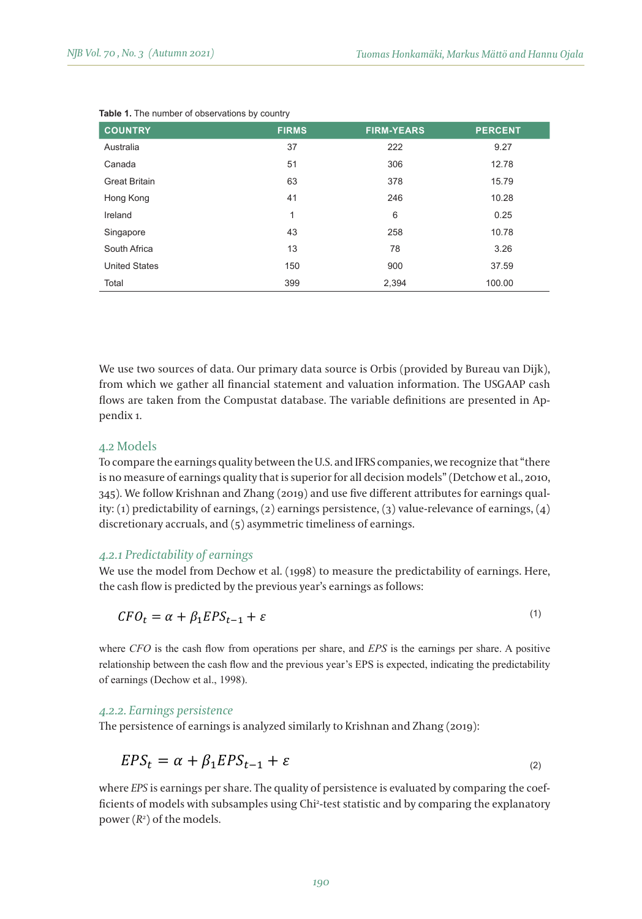| <b>COUNTRY</b>       | <b>FIRMS</b> | <b>FIRM-YEARS</b> | <b>PERCENT</b> |
|----------------------|--------------|-------------------|----------------|
| Australia            | 37           | 222               | 9.27           |
| Canada               | 51           | 306               | 12.78          |
| <b>Great Britain</b> | 63           | 378               | 15.79          |
| Hong Kong            | 41           | 246               | 10.28          |
| Ireland              | 1            | 6                 | 0.25           |
| Singapore            | 43           | 258               | 10.78          |
| South Africa         | 13           | 78                | 3.26           |
| <b>United States</b> | 150          | 900               | 37.59          |
| Total                | 399          | 2,394             | 100.00         |

#### **Table 1.** The number of observations by country

We use two sources of data. Our primary data source is Orbis (provided by Bureau van Dijk), from which we gather all financial statement and valuation information. The USGAAP cash flows are taken from the Compustat database. The variable definitions are presented in Appendix 1.

#### 4.2 Models of earnings persistence, (3) earnings persistence, (3) value-relevance of earnings,  $\alpha$

To compare the earnings quality between the U.S. and IFRS companies, we recognize that "there is no measure of earnings quality that is superior for all decision models" (Detchow et al., 2010,  $345$ ). We follow Krishnan and Zhang (2019) and use five different attributes for earnings quality: (1) predictability of earnings, (2) earnings persistence, (3) value-relevance of earnings, (4) 4.2.1 *Predictability of earnings* discretionary accruals, and (5) asymmetric timeliness of earnings.

#### *4.2.1 Predictability of earnings* We use the model from Dechow et al. (1998) to measure the predictability of earnings. Here, the cash of earnings of earnings. Here, the cash of earnings of earnings. Here, the cash of earnings of earnings. Here, the cash

We use the model from Dechow et al. (1998) to measure the predictability of earnings. Here,  $\frac{1}{2}$ the cash flow is predicted by the previous year's earnings as follows:

$$
CFO_t = \alpha + \beta_1 EPS_{t-1} + \varepsilon \tag{1}
$$

where *CFO* is the cash flow from operations per share, and *EPS* is the earnings per share. A positive relationship between the cash flow and the previous year's EPS is expected, indicating the predictability of earnings (Dechow et al., 1998).

## 4.2.2. Earnings persistence

The persistence of earnings is analyzed similarly to Krishnan and Zhang (2019):

$$
EPS_t = \alpha + \beta_1 EPS_{t-1} + \varepsilon
$$
 (2)

where EPS is earnings per share. The quality of persistence is evaluated by comparing the coefwhere *EFS* is earnings per share. The quanty of persistence is evaluated by comparing the coef-<br>ficients of models with subsamples using Chi<sup>2</sup>-test statistic and by comparing the explanatory power (*R2* ) of the models.  $\alpha$  models with subsamples using  $\alpha$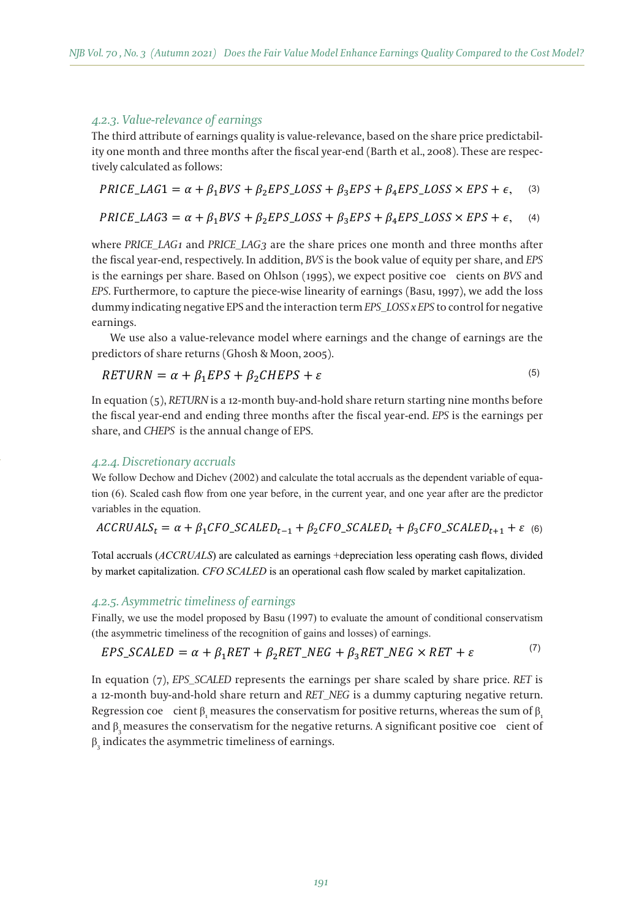$\mathbf{A} = \mathbf{A} + \mathbf{A} + \mathbf{A} + \mathbf{A} + \mathbf{A} + \mathbf{A} + \mathbf{A} + \mathbf{A} + \mathbf{A} + \mathbf{A} + \mathbf{A} + \mathbf{A} + \mathbf{A} + \mathbf{A} + \mathbf{A} + \mathbf{A} + \mathbf{A} + \mathbf{A} + \mathbf{A} + \mathbf{A} + \mathbf{A} + \mathbf{A} + \mathbf{A} + \mathbf{A} + \mathbf{A} + \mathbf{A} + \mathbf{A} + \mathbf{A} + \mathbf{A} + \mathbf{A} + \mathbf$ 

## *4.2.3. Value-relevance of earnings* month and three months after the fiscal year-end (Barth et al., 2008). These are respectively calculated

The third attribute of earnings quality is value-relevance, based on the share price predictability one month and three months after the fiscal year-end (Barth et al., 2008). These are respectively calculated as follows: **By an only and** *EPS* and *EPS*. Furthermore, to *BVS* and *EPS*. Furthermore, to *EPS*. Furthermore, to *EPS*. Furthermore, to *EPS*. Furthermore, to *EPS*. Furthermore, to *EPS*. Furthermor

$$
PRICE\_LAG1 = \alpha + \beta_1 BVS + \beta_2 EPS\_LOSS + \beta_3 EPS + \beta_4 EPS\_LOSS \times EPS + \epsilon, \quad (3)
$$

$$
PRICE\_LAG3 = \alpha + \beta_1 BVS + \beta_2 EPS\_LOSS + \beta_3 EPS + \beta_4 EPS\_LOSS \times EPS + \epsilon, \quad (4)
$$

where *PRICE\_LAG1* and *PRICE\_LAG3* are the share prices one month and three months after the fiscal year-end, respectively. In addition, *BVS* is the book value of equity per share, and *EPS* is the earnings per share. Based on Ohlson (1995), we expect positive coe cients on BVS and *EPS*. Furthermore, to capture the piece-wise linearity of earnings (Basu, 1997), we add the loss dummy indicating negative EPS and the interaction term *EPS\_LOSS x EPS* to control for negative per share. Based on Ohlson (1995), we expect positive coefficients on *BVS* and *EPS*. Furthermore, to We use also a value-relevance model where earnings and the change of earnings are the predictors of year-end and ending three months after the fiscal year-end. *EPS* is the earnings per share, and *CHEPS* is We follow Dechow and Dichev (2002) and calculate the total accruals as the dependent variable of earnings.  $\overline{\phantom{a}}$ 

We use also a value-relevance model where earnings and the change of earnings are the predictors of share returns (Ghosh & Moon, 2005).

$$
RETURN = \alpha + \beta_1 EPS + \beta_2 CHEPS + \varepsilon
$$
\n<sup>(5)</sup>

In equation (5), *RETURN* is a 12-month buy-and-hold share return starting nine months before n equation (5*), KETOKN i*s a 12-month buy-and-hold share return starting nine months before<br>the fiscal year-end and ending three months after the fiscal year-end. *EPS* is the earnings per share, and *CHEPS* is the annual change of EPS.  $W_{\text{S}}$  and distribution are distribution of earnings and the predictors of earnings are the predictors of earnings are the predictors of earnings are the predictors of earnings are the predictors of earnings are the pr

# 4.2.4. Discretionary accruals<br>we say the cash flow flow from one year before, in the current year, and one year, and one year, and one year

We follow Dechow and Dichev (2002) and calculate the total accruals as the dependent variable of equation (6). Scaled cash flow from one year before, in the current year, and one year after are the predictor variables in the equation.

$$
ACCRUALS_t = \alpha + \beta_1 CFO\_SCALED_{t-1} + \beta_2 CFO\_SCALED_t + \beta_3 CFO\_SCALED_{t+1} + \varepsilon
$$
 (6)

Total accruals (*ACCRUALS*) are calculated as earnings +depreciation less operating cash flows, divided by market capitalization. *CFO SCALED* is an operational cash flow scaled by market capitalization.

#### *4.2.5. Asymmetric timeliness of earnings* by market capitalization. *CFO SCALED* is an operational cash flow scaled by market capitalization.

Finally, we use the model proposed by Basu (1997) to evaluate the amount of conditional conservatism (the asymmetric timeliness of the recognition of gains and losses) of earnings.

$$
EPS\_SCALED = \alpha + \beta_1 RET + \beta_2RET\_NEG + \beta_3RET\_NEG \times RET + \varepsilon
$$

 $\rightarrow$ 

In equation (7), *EPS\_SCALED* represents the earnings per share scaled by share price. *RET* is a 12-month buy-and-hold share return and RET\_NEG is a dummy capturing negative return. Regression coe cient  $\beta_{_1}$  measures the conservatism for positive returns, whereas the sum of  $\beta_{_1}$ and  $\beta_3$  measures the conservatism for the negative returns. A significant positive coe cient of  $\beta_3$  indicates the asymmetric timeliness of earnings.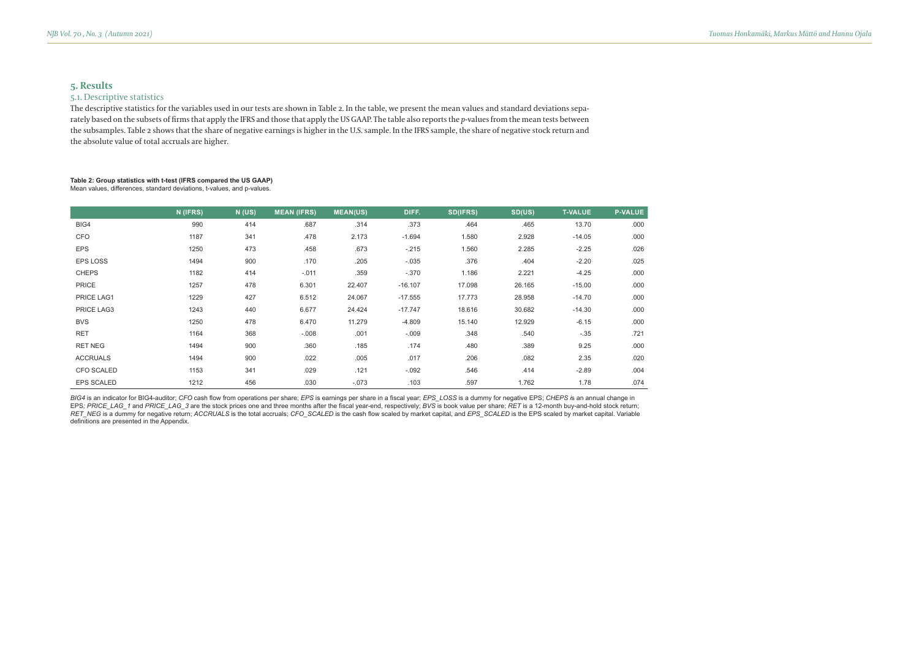## **5. Results**

## 5.1. Descriptive statistics

The descriptive statistics for the variables used in our tests are shown in Table 2. In the table, we present the mean values and standard deviations separately based on the subsets of firms that apply the IFRS and those that apply the US GAAP. The table also reports the *p*-values from the mean tests between the subsamples. Table 2 shows that the share of negative earnings is higher in the U.S. sample. In the IFRS sample, the share of negative stock return and the absolute value of total accruals are higher.

#### **Table 2: Group statistics with t-test (IFRS compared the US GAAP)**  Mean values, differences, standard deviations, t-values, and p-values.

|                   | N (IFRS) | N(US) | <b>MEAN (IFRS)</b> | <b>MEAN(US)</b> | DIFF.     | <b>SD(IFRS)</b> | SD(US) | <b>T-VALUE</b> | <b>P-VALUE</b> |
|-------------------|----------|-------|--------------------|-----------------|-----------|-----------------|--------|----------------|----------------|
| BIG4              | 990      | 414   | .687               | .314            | .373      | .464            | .465   | 13.70          | .000           |
| <b>CFO</b>        | 1187     | 341   | .478               | 2.173           | $-1.694$  | 1.580           | 2.928  | $-14.05$       | .000           |
| <b>EPS</b>        | 1250     | 473   | .458               | .673            | $-.215$   | 1.560           | 2.285  | $-2.25$        | .026           |
| EPS LOSS          | 1494     | 900   | .170               | .205            | $-.035$   | .376            | .404   | $-2.20$        | .025           |
| <b>CHEPS</b>      | 1182     | 414   | $-.011$            | .359            | $-.370$   | 1.186           | 2.221  | $-4.25$        | .000           |
| <b>PRICE</b>      | 1257     | 478   | 6.301              | 22.407          | $-16.107$ | 17.098          | 26.165 | $-15.00$       | .000           |
| PRICE LAG1        | 1229     | 427   | 6.512              | 24.067          | $-17.555$ | 17.773          | 28.958 | $-14.70$       | .000           |
| PRICE LAG3        | 1243     | 440   | 6.677              | 24.424          | $-17.747$ | 18.616          | 30.682 | $-14.30$       | .000           |
| <b>BVS</b>        | 1250     | 478   | 6.470              | 11.279          | $-4.809$  | 15.140          | 12.929 | $-6.15$        | .000           |
| <b>RET</b>        | 1164     | 368   | $-.008$            | .001            | $-.009$   | .348            | .540   | $-.35$         | .721           |
| <b>RET NEG</b>    | 1494     | 900   | .360               | .185            | .174      | .480            | .389   | 9.25           | .000           |
| <b>ACCRUALS</b>   | 1494     | 900   | .022               | .005            | .017      | .206            | .082   | 2.35           | .020           |
| <b>CFO SCALED</b> | 1153     | 341   | .029               | .121            | $-.092$   | .546            | .414   | $-2.89$        | .004           |
| <b>EPS SCALED</b> | 1212     | 456   | .030               | $-.073$         | .103      | .597            | 1.762  | 1.78           | .074           |

BIG4 is an indicator for BIG4-auditor; *CFO* cash flow from operations per share; *EPS* is earnings per share in a fiscal year; *EPS\_LOSS* is a dummy for negative EPS; *CHEPS is* an annual change in EPS; PRICE\_LAG\_1 and PRICE\_LAG\_3 are the stock prices one and three months after the fiscal year-end, respectively; BVS is book value per share; RET is a 12-month buy-and-hold stock return; RET\_NEG is a dummy for negative return; *ACCRUALS* is the total accruals; *CFO\_SCALED* is the cash flow scaled by market capital, and *EPS\_SCALED* is the EPS scaled by market capital. Variable definitions are presented in the Appendix.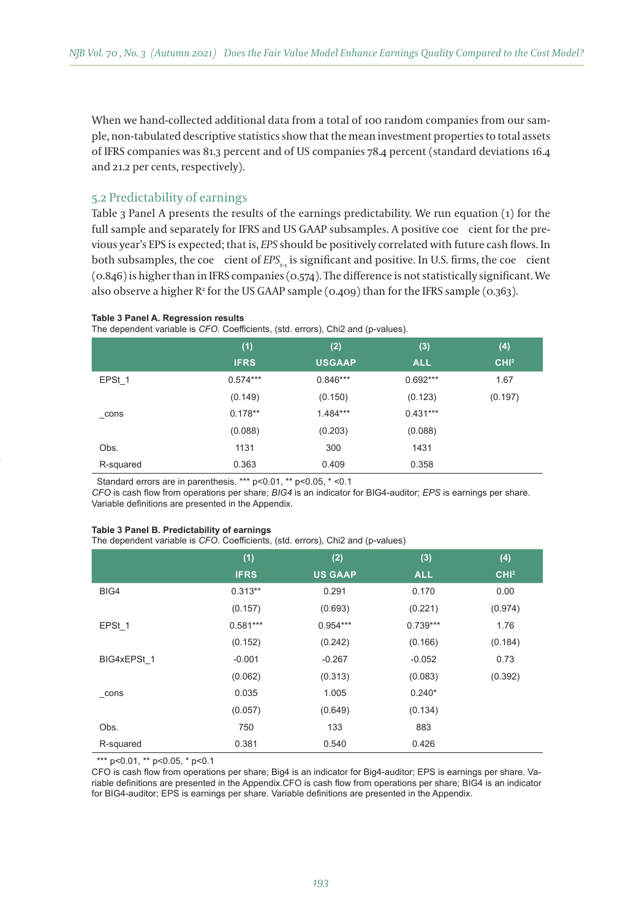When we hand-collected additional data from a total of 100 random companies from our sample, non-tabulated descriptive statistics show that the mean investment properties to total assets of IFRS companies was 81.3 percent and of US companies 78.4 percent (standard deviations 16.4 and 21.2 per cents, respectively).

## 5.2 Predictability of earnings

Table 3 Panel A presents the results of the earnings predictability. We run equation (1) for the full sample and separately for IFRS and US GAAP subsamples. A positive coe cient for the previous year's EPS is expected; that is, *EPS* should be positively correlated with future cash flows. In both subsamples, the coe cient of *EPS*<sub>t-1</sub> is significant and positive. In U.S. firms, the coe cient (0.846) is higher than in IFRS companies (0.574). The difference is not statistically significant. We also observe a higher  $\mathbb{R}^2$  for the US GAAP sample (0.409) than for the IFRS sample (0.363).

#### **Table 3 Panel A. Regression results**

The dependent variable is *CFO.* Coefficients, (std. errors), Chi2 and (p-values).

|           | (1)         | (2)           | (3)        | (4)              |
|-----------|-------------|---------------|------------|------------------|
|           | <b>IFRS</b> | <b>USGAAP</b> | <b>ALL</b> | CHI <sup>2</sup> |
| EPSt 1    | $0.574***$  | $0.846***$    | $0.692***$ | 1.67             |
|           | (0.149)     | (0.150)       | (0.123)    | (0.197)          |
| cons      | $0.178**$   | $1.484***$    | $0.431***$ |                  |
|           | (0.088)     | (0.203)       | (0.088)    |                  |
| Obs.      | 1131        | 300           | 1431       |                  |
| R-squared | 0.363       | 0.409         | 0.358      |                  |

Standard errors are in parenthesis. \*\*\* p<0.01, \*\* p<0.05, \* <0.1

*CFO* is cash flow from operations per share; *BIG4* is an indicator for BIG4-auditor; *EPS* is earnings per share. Variable definitions are presented in the Appendix.

#### **Table 3 Panel B. Predictability of earnings**

The dependent variable is *CFO*. Coefficients, (std. errors), Chi2 and (p-values)

|                     | (1)         | (2)            | (3)        | (4)              |
|---------------------|-------------|----------------|------------|------------------|
|                     | <b>IFRS</b> | <b>US GAAP</b> | <b>ALL</b> | CHI <sup>2</sup> |
| BIG4                | $0.313**$   | 0.291          | 0.170      | 0.00             |
|                     | (0.157)     | (0.693)        | (0.221)    | (0.974)          |
| EPSt 1              | $0.581***$  | $0.954***$     | $0.739***$ | 1.76             |
|                     | (0.152)     | (0.242)        | (0.166)    | (0.184)          |
| BIG4xEPSt 1         | $-0.001$    | $-0.267$       | $-0.052$   | 0.73             |
|                     | (0.062)     | (0.313)        | (0.083)    | (0.392)          |
| $_{\rm_{\rm}}$ cons | 0.035       | 1.005          | $0.240*$   |                  |
|                     | (0.057)     | (0.649)        | (0.134)    |                  |
| Obs.                | 750         | 133            | 883        |                  |
| R-squared           | 0.381       | 0.540          | 0.426      |                  |

\*\*\* p<0.01, \*\* p<0.05, \* p<0.1

CFO is cash flow from operations per share; Big4 is an indicator for Big4-auditor; EPS is earnings per share. Variable definitions are presented in the Appendix.CFO is cash flow from operations per share; BIG4 is an indicator for BIG4-auditor; EPS is earnings per share. Variable definitions are presented in the Appendix.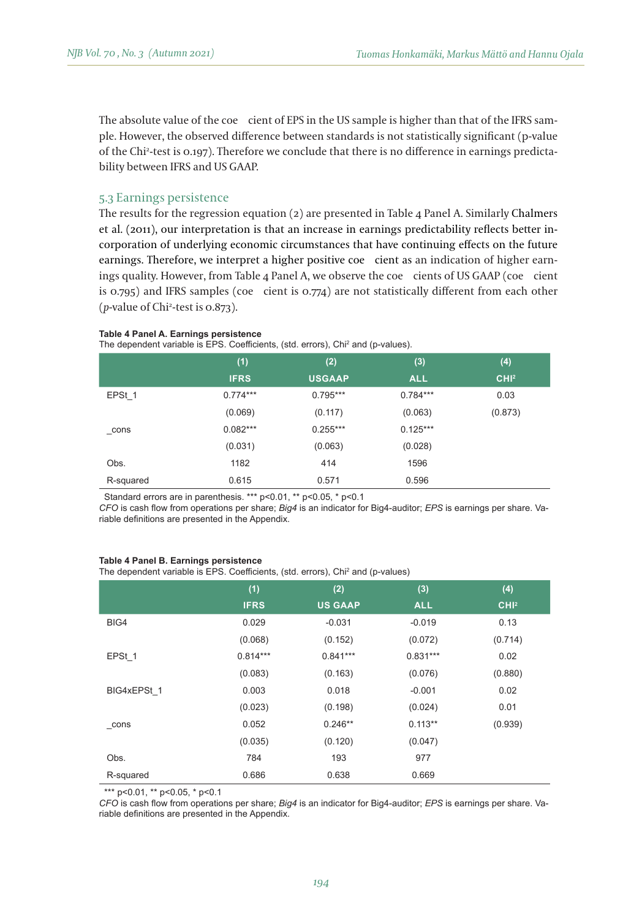The absolute value of the coecient of EPS in the US sample is higher than that of the IFRS sample. However, the observed difference between standards is not statistically significant (p-value of the Chi2 -test is 0.197). Therefore we conclude that there is no difference in earnings predictability between IFRS and US GAAP.

## 5.3 Earnings persistence

The results for the regression equation (2) are presented in Table 4 Panel A. Similarly Chalmers et al. (2011), our interpretation is that an increase in earnings predictability reflects better incorporation of underlying economic circumstances that have continuing effects on the future earnings. Therefore, we interpret a higher positive coe cient as an indication of higher earnings quality. However, from Table  $\alpha$  Panel A, we observe the coecients of US GAAP (coecient is 0.795) and IFRS samples (coe cient is 0.774) are not statistically different from each other (*p-*value of Chi2 -test is 0.873).

#### **Table 4 Panel A. Earnings persistence**

The dependent variable is EPS. Coefficients, (std. errors), Chi<sup>2</sup> and (p-values).

|           | (1)         | (2)           | (3)        | (4)              |
|-----------|-------------|---------------|------------|------------------|
|           | <b>IFRS</b> | <b>USGAAP</b> | <b>ALL</b> | CHI <sup>2</sup> |
| EPSt 1    | $0.774***$  | $0.795***$    | $0.784***$ | 0.03             |
|           | (0.069)     | (0.117)       | (0.063)    | (0.873)          |
| $\_cons$  | $0.082***$  | $0.255***$    | $0.125***$ |                  |
|           | (0.031)     | (0.063)       | (0.028)    |                  |
| Obs.      | 1182        | 414           | 1596       |                  |
| R-squared | 0.615       | 0.571         | 0.596      |                  |

Standard errors are in parenthesis. \*\*\* p<0.01, \*\* p<0.05, \* p<0.1

*CFO* is cash flow from operations per share; *Big4* is an indicator for Big4-auditor; *EPS* is earnings per share. Variable definitions are presented in the Appendix.

#### **Table 4 Panel B. Earnings persistence**

The dependent variable is EPS. Coefficients, (std. errors), Chi<sup>2</sup> and (p-values)

|                     | (1)         | (2)            | (3)        | (4)              |
|---------------------|-------------|----------------|------------|------------------|
|                     | <b>IFRS</b> | <b>US GAAP</b> | <b>ALL</b> | CHI <sup>2</sup> |
| BIG4                | 0.029       | $-0.031$       | $-0.019$   | 0.13             |
|                     | (0.068)     | (0.152)        | (0.072)    | (0.714)          |
| EPSt 1              | $0.814***$  | $0.841***$     | $0.831***$ | 0.02             |
|                     | (0.083)     | (0.163)        | (0.076)    | (0.880)          |
| BIG4xEPSt 1         | 0.003       | 0.018          | $-0.001$   | 0.02             |
|                     | (0.023)     | (0.198)        | (0.024)    | 0.01             |
| $_{\rm_{\rm}}$ cons | 0.052       | $0.246**$      | $0.113**$  | (0.939)          |
|                     | (0.035)     | (0.120)        | (0.047)    |                  |
| Obs.                | 784         | 193            | 977        |                  |
| R-squared           | 0.686       | 0.638          | 0.669      |                  |

\*\*\* p<0.01, \*\* p<0.05, \* p<0.1

*CFO* is cash flow from operations per share; *Big4* is an indicator for Big4-auditor; *EPS* is earnings per share. Variable definitions are presented in the Appendix.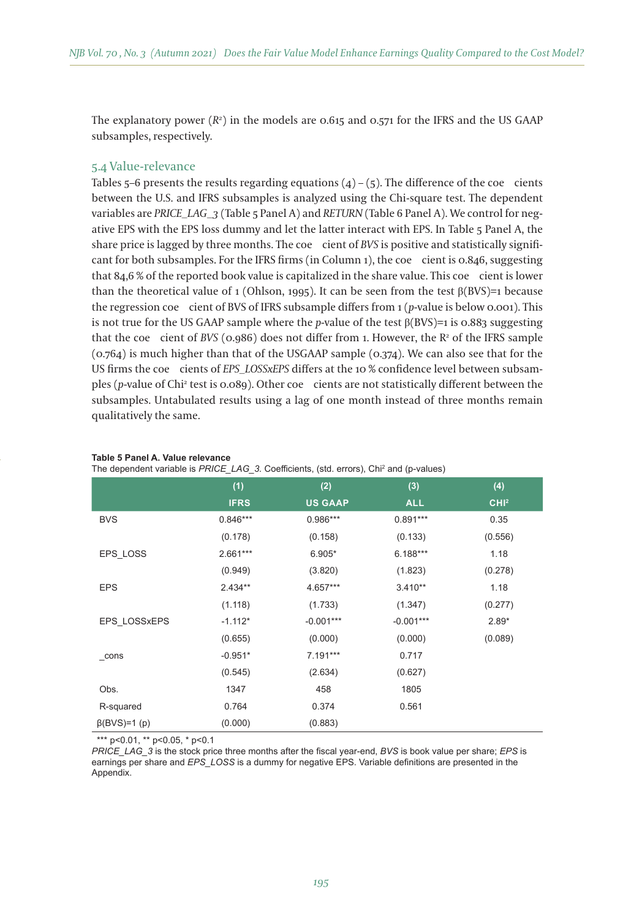The explanatory power (*R2* ) in the models are 0.615 and 0.571 for the IFRS and the US GAAP subsamples, respectively.

## 5.4 Value-relevance

Tables 5–6 presents the results regarding equations  $(4) - (5)$ . The difference of the coecients between the U.S. and IFRS subsamples is analyzed using the Chi-square test. The dependent variables are *PRICE\_LAG\_3* (Table 5 Panel A) and *RETURN* (Table 6 Panel A). We control for negative EPS with the EPS loss dummy and let the latter interact with EPS. In Table 5 Panel A, the share price is lagged by three months. The coe cient of *BVS* is positive and statistically significant for both subsamples. For the IFRS firms (in Column 1), the coe cient is 0.846, suggesting that  $84.6\%$  of the reported book value is capitalized in the share value. This coecient is lower than the theoretical value of 1 (Ohlson, 1995). It can be seen from the test  $\beta$ (BVS)=1 because the regression coecient of BVS of IFRS subsample differs from 1 (*p-*value is below 0.001). This is not true for the US GAAP sample where the *p*-value of the test  $\beta$ (BVS)=1 is 0.883 suggesting that the coe cient of *BVS* (0.986) does not differ from 1. However, the  $R^2$  of the IFRS sample (0.764) is much higher than that of the USGAAP sample (0.374). We can also see that for the US firms the coecients of *EPS\_LOSSxEPS* differs at the 10 % confidence level between subsamples (p-value of Chi<sup>2</sup> test is 0.089). Other coe - cients are not statistically different between the subsamples. Untabulated results using a lag of one month instead of three months remain qualitatively the same.

|                     | (1)         | (2)            | (3)         | (4)              |
|---------------------|-------------|----------------|-------------|------------------|
|                     | <b>IFRS</b> | <b>US GAAP</b> | <b>ALL</b>  | CHI <sup>2</sup> |
| <b>BVS</b>          | $0.846***$  | $0.986***$     | $0.891***$  | 0.35             |
|                     | (0.178)     | (0.158)        | (0.133)     | (0.556)          |
| EPS LOSS            | $2.661***$  | $6.905*$       | $6.188***$  | 1.18             |
|                     | (0.949)     | (3.820)        | (1.823)     | (0.278)          |
| <b>EPS</b>          | $2.434**$   | 4.657***       | $3.410**$   | 1.18             |
|                     | (1.118)     | (1.733)        | (1.347)     | (0.277)          |
| EPS LOSSxEPS        | $-1.112*$   | $-0.001***$    | $-0.001***$ | $2.89*$          |
|                     | (0.655)     | (0.000)        | (0.000)     | (0.089)          |
| $\_cons$            | $-0.951*$   | 7.191***       | 0.717       |                  |
|                     | (0.545)     | (2.634)        | (0.627)     |                  |
| Obs.                | 1347        | 458            | 1805        |                  |
| R-squared           | 0.764       | 0.374          | 0.561       |                  |
| $\beta$ (BVS)=1 (p) | (0.000)     | (0.883)        |             |                  |

#### **Table 5 Panel A. Value relevance**

The dependent variable is *PRICE\_LAG\_3.* Coefficients, (std. errors), Chi<sup>2</sup> and (p-values)

\*\*\* p<0.01, \*\* p<0.05, \* p<0.1

*PRICE\_LAG\_3* is the stock price three months after the fiscal year-end, BVS is book value per share; *EPS* is earnings per share and *EPS\_LOSS* is a dummy for negative EPS. Variable definitions are presented in the Appendix.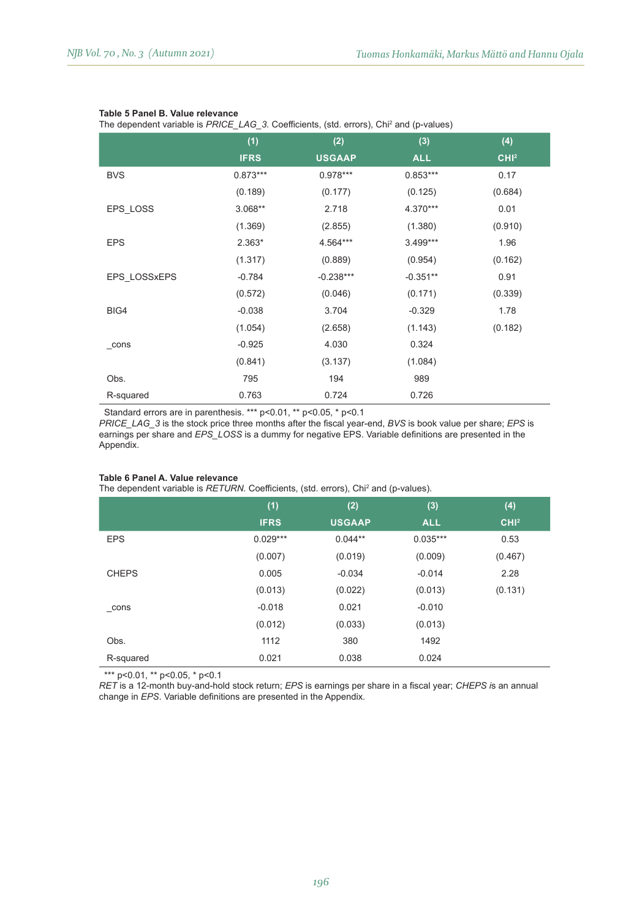#### **Table 5 Panel B. Value relevance**

The dependent variable is *PRICE\_LAG\_3*. Coefficients, (std. errors), Chi<sup>2</sup> and (p-values)

|              | (1)         | (2)           | (3)        | (4)              |
|--------------|-------------|---------------|------------|------------------|
|              | <b>IFRS</b> | <b>USGAAP</b> | <b>ALL</b> | CHI <sup>2</sup> |
| <b>BVS</b>   | $0.873***$  | $0.978***$    | $0.853***$ | 0.17             |
|              | (0.189)     | (0.177)       | (0.125)    | (0.684)          |
| EPS LOSS     | $3.068**$   | 2.718         | 4.370***   | 0.01             |
|              | (1.369)     | (2.855)       | (1.380)    | (0.910)          |
| <b>EPS</b>   | 2.363*      | 4.564***      | $3.499***$ | 1.96             |
|              | (1.317)     | (0.889)       | (0.954)    | (0.162)          |
| EPS LOSSxEPS | $-0.784$    | $-0.238***$   | $-0.351**$ | 0.91             |
|              | (0.572)     | (0.046)       | (0.171)    | (0.339)          |
| BIG4         | $-0.038$    | 3.704         | $-0.329$   | 1.78             |
|              | (1.054)     | (2.658)       | (1.143)    | (0.182)          |
| $\_cons$     | $-0.925$    | 4.030         | 0.324      |                  |
|              | (0.841)     | (3.137)       | (1.084)    |                  |
| Obs.         | 795         | 194           | 989        |                  |
| R-squared    | 0.763       | 0.724         | 0.726      |                  |

Standard errors are in parenthesis. \*\*\* p<0.01, \*\* p<0.05, \* p<0.1

*PRICE\_LAG\_3* is the stock price three months after the fiscal year-end, BVS is book value per share; *EPS* is earnings per share and *EPS* LOSS is a dummy for negative EPS. Variable definitions are presented in the Appendix.

#### **Table 6 Panel A. Value relevance**

The dependent variable is *RETURN*. Coefficients, (std. errors), Chi<sup>2</sup> and (p-values).

|              | (1)<br><b>IFRS</b> | (2)<br><b>USGAAP</b> | (3)<br><b>ALL</b> | (4)<br>CHI <sup>2</sup> |
|--------------|--------------------|----------------------|-------------------|-------------------------|
| <b>EPS</b>   | $0.029***$         | $0.044**$            | $0.035***$        | 0.53                    |
|              | (0.007)            | (0.019)              | (0.009)           | (0.467)                 |
| <b>CHEPS</b> | 0.005              | $-0.034$             | $-0.014$          | 2.28                    |
|              | (0.013)            | (0.022)              | (0.013)           | (0.131)                 |
| cons         | $-0.018$           | 0.021                | $-0.010$          |                         |
|              | (0.012)            | (0.033)              | (0.013)           |                         |
| Obs.         | 1112               | 380                  | 1492              |                         |
| R-squared    | 0.021              | 0.038                | 0.024             |                         |

\*\*\* p<0.01, \*\* p<0.05, \* p<0.1

*RET* is a 12-month buy-and-hold stock return; *EPS* is earnings per share in a fiscal year; *CHEPS* is an annual change in *EPS*. Variable definitions are presented in the Appendix.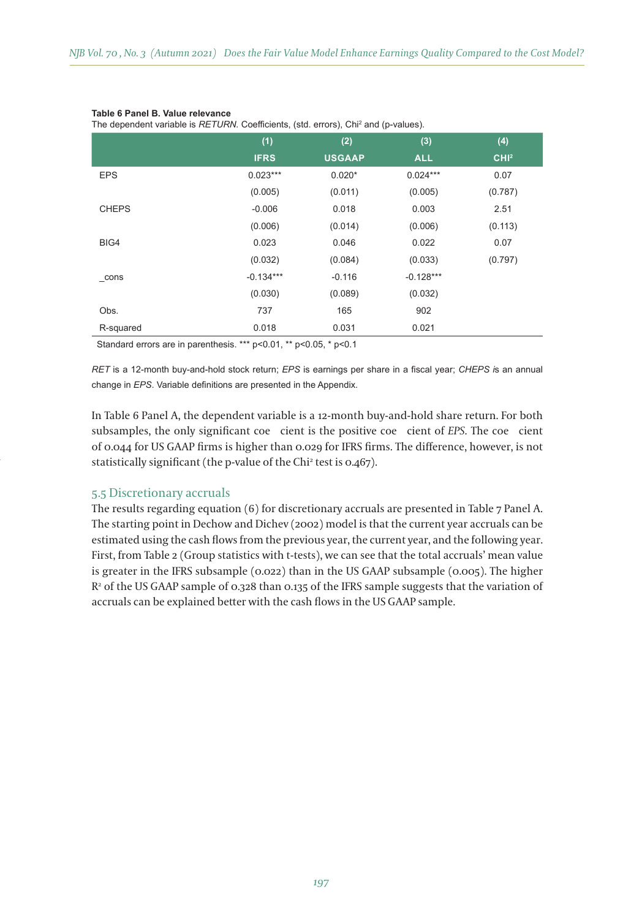#### **Table 6 Panel B. Value relevance**

The dependent variable is *RETURN*. Coefficients, (std. errors), Chi<sup>2</sup> and (p-values).

|              | (1)         | (2)           | (3)         | (4)              |
|--------------|-------------|---------------|-------------|------------------|
|              | <b>IFRS</b> | <b>USGAAP</b> | <b>ALL</b>  | CHI <sup>2</sup> |
| <b>EPS</b>   | $0.023***$  | $0.020*$      | $0.024***$  | 0.07             |
|              | (0.005)     | (0.011)       | (0.005)     | (0.787)          |
| <b>CHEPS</b> | $-0.006$    | 0.018         | 0.003       | 2.51             |
|              | (0.006)     | (0.014)       | (0.006)     | (0.113)          |
| BIG4         | 0.023       | 0.046         | 0.022       | 0.07             |
|              | (0.032)     | (0.084)       | (0.033)     | (0.797)          |
| cons         | $-0.134***$ | $-0.116$      | $-0.128***$ |                  |
|              | (0.030)     | (0.089)       | (0.032)     |                  |
| Obs.         | 737         | 165           | 902         |                  |
| R-squared    | 0.018       | 0.031         | 0.021       |                  |

Standard errors are in parenthesis. \*\*\* p<0.01, \*\* p<0.05, \* p<0.1

*RET* is a 12-month buy-and-hold stock return; *EPS* is earnings per share in a fiscal year; *CHEPS is* an annual change in *EPS*. Variable definitions are presented in the Appendix.

In Table 6 Panel A, the dependent variable is a 12-month buy-and-hold share return. For both subsamples, the only significant coe cient is the positive coe cient of *EPS*. The coe cient of 0.044 for US GAAP firms is higher than 0.029 for IFRS firms. The difference, however, is not statistically significant (the p-value of the Chi2 test is 0.467).

## 5.5 Discretionary accruals

The results regarding equation (6) for discretionary accruals are presented in Table 7 Panel A. The starting point in Dechow and Dichev (2002) model is that the current year accruals can be estimated using the cash flows from the previous year, the current year, and the following year. First, from Table 2 (Group statistics with t-tests), we can see that the total accruals' mean value is greater in the IFRS subsample (0.022) than in the US GAAP subsample (0.005). The higher  $\mathsf{R}^{\mathsf{2}}$  of the US GAAP sample of 0.328 than 0.135 of the IFRS sample suggests that the variation of accruals can be explained better with the cash flows in the US GAAP sample.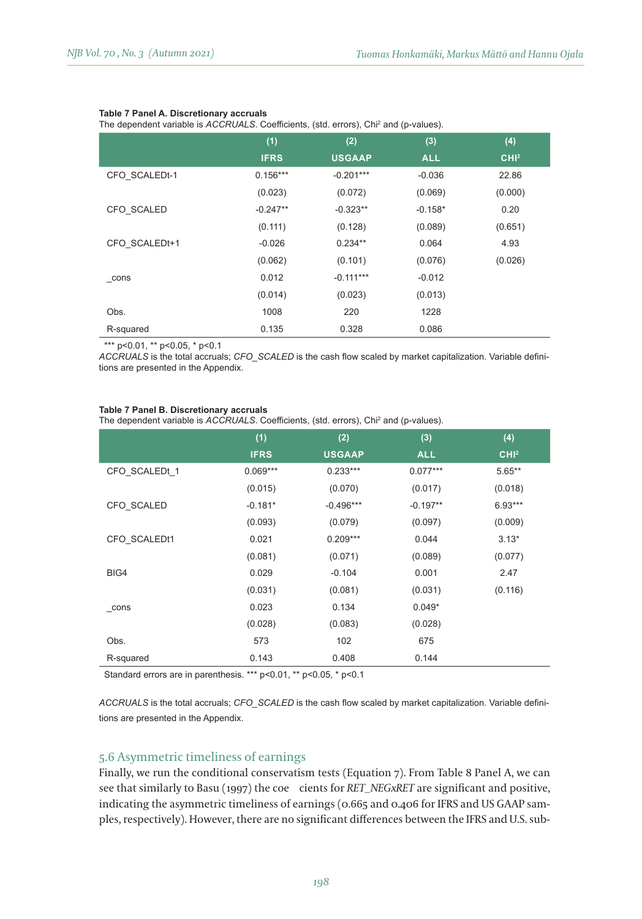#### **Table 7 Panel A. Discretionary accruals**

The dependent variable is *ACCRUALS*. Coefficients, (std. errors), Chi<sup>2</sup> and (p-values).

|               | (1)         | (2)           | (3)        | (4)              |
|---------------|-------------|---------------|------------|------------------|
|               | <b>IFRS</b> | <b>USGAAP</b> | <b>ALL</b> | CHI <sup>2</sup> |
| CFO SCALEDt-1 | $0.156***$  | $-0.201***$   | $-0.036$   | 22.86            |
|               | (0.023)     | (0.072)       | (0.069)    | (0.000)          |
| CFO SCALED    | $-0.247**$  | $-0.323**$    | $-0.158*$  | 0.20             |
|               | (0.111)     | (0.128)       | (0.089)    | (0.651)          |
| CFO SCALEDt+1 | $-0.026$    | $0.234**$     | 0.064      | 4.93             |
|               | (0.062)     | (0.101)       | (0.076)    | (0.026)          |
| cons          | 0.012       | $-0.111***$   | $-0.012$   |                  |
|               | (0.014)     | (0.023)       | (0.013)    |                  |
| Obs.          | 1008        | 220           | 1228       |                  |
| R-squared     | 0.135       | 0.328         | 0.086      |                  |

\*\*\* p<0.01, \*\* p<0.05, \* p<0.1

*ACCRUALS* is the total accruals; *CFO\_SCALED* is the cash flow scaled by market capitalization. Variable definitions are presented in the Appendix.

#### **Table 7 Panel B. Discretionary accruals**

The dependent variable is *ACCRUALS*. Coefficients, (std. errors), Chi<sup>2</sup> and (p-values).

|                     | (1)         | (2)           | (3)        | (4)              |
|---------------------|-------------|---------------|------------|------------------|
|                     | <b>IFRS</b> | <b>USGAAP</b> | <b>ALL</b> | CHI <sup>2</sup> |
| CFO SCALEDt 1       | $0.069***$  | $0.233***$    | $0.077***$ | $5.65***$        |
|                     | (0.015)     | (0.070)       | (0.017)    | (0.018)          |
| CFO SCALED          | $-0.181*$   | $-0.496***$   | $-0.197**$ | $6.93***$        |
|                     | (0.093)     | (0.079)       | (0.097)    | (0.009)          |
| CFO SCALEDt1        | 0.021       | $0.209***$    | 0.044      | $3.13*$          |
|                     | (0.081)     | (0.071)       | (0.089)    | (0.077)          |
| BIG4                | 0.029       | $-0.104$      | 0.001      | 2.47             |
|                     | (0.031)     | (0.081)       | (0.031)    | (0.116)          |
| $_{\rm_{\rm}}$ cons | 0.023       | 0.134         | $0.049*$   |                  |
|                     | (0.028)     | (0.083)       | (0.028)    |                  |
| Obs.                | 573         | 102           | 675        |                  |
| R-squared           | 0.143       | 0.408         | 0.144      |                  |
|                     |             |               |            |                  |

Standard errors are in parenthesis. \*\*\* p<0.01, \*\* p<0.05, \* p<0.1

ACCRUALS is the total accruals; CFO\_SCALED is the cash flow scaled by market capitalization. Variable definitions are presented in the Appendix.

## 5.6 Asymmetric timeliness of earnings

Finally, we run the conditional conservatism tests (Equation 7). From Table 8 Panel A, we can see that similarly to Basu (1997) the coe cients for *RET\_NEGxRET* are significant and positive, indicating the asymmetric timeliness of earnings (0.665 and 0.406 for IFRS and US GAAP samples, respectively). However, there are no significant differences between the IFRS and U.S. sub-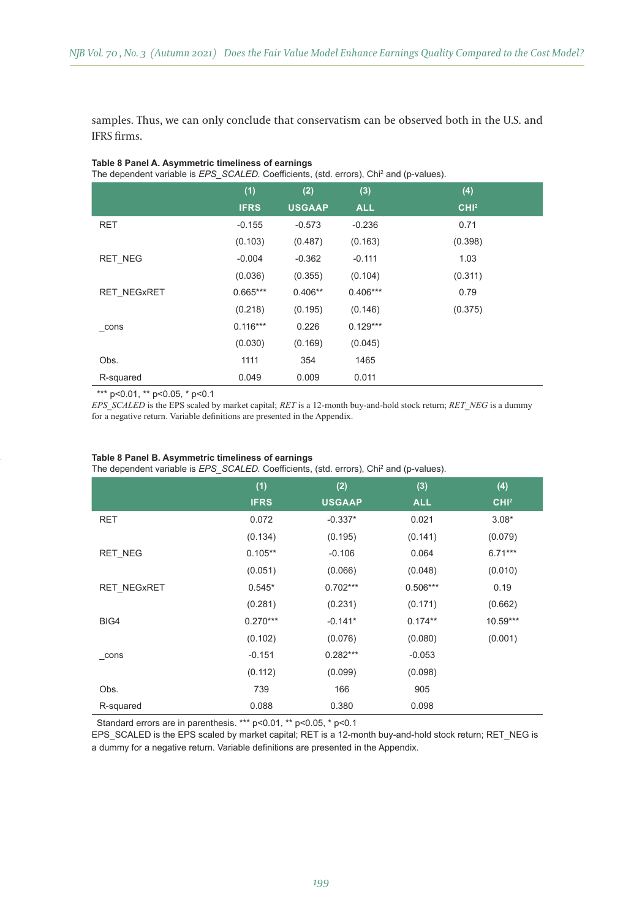samples. Thus, we can only conclude that conservatism can be observed both in the U.S. and IFRS firms.

| The dependent variable is <i>EPS</i> SCALED. Coefficients, (std. errors), Chi <sup>2</sup> and (p-values). |             |               |            |                  |  |
|------------------------------------------------------------------------------------------------------------|-------------|---------------|------------|------------------|--|
|                                                                                                            | (1)         | (2)           | (3)        | (4)              |  |
|                                                                                                            | <b>IFRS</b> | <b>USGAAP</b> | <b>ALL</b> | CHI <sup>2</sup> |  |
| <b>RET</b>                                                                                                 | $-0.155$    | $-0.573$      | $-0.236$   | 0.71             |  |
|                                                                                                            | (0.103)     | (0.487)       | (0.163)    | (0.398)          |  |
| <b>RET NEG</b>                                                                                             | $-0.004$    | $-0.362$      | $-0.111$   | 1.03             |  |
|                                                                                                            | (0.036)     | (0.355)       | (0.104)    | (0.311)          |  |
| <b>RET NEGXRET</b>                                                                                         | $0.665***$  | $0.406**$     | $0.406***$ | 0.79             |  |
|                                                                                                            | (0.218)     | (0.195)       | (0.146)    | (0.375)          |  |
| cons                                                                                                       | $0.116***$  | 0.226         | $0.129***$ |                  |  |
|                                                                                                            | (0.030)     | (0.169)       | (0.045)    |                  |  |
| Obs.                                                                                                       | 1111        | 354           | 1465       |                  |  |
| R-squared                                                                                                  | 0.049       | 0.009         | 0.011      |                  |  |

#### **Table 8 Panel A. Asymmetric timeliness of earnings**

\*\*\* p<0.01, \*\* p<0.05, \* p<0.1

*EPS\_SCALED* is the EPS scaled by market capital; RET is a 12-month buy-and-hold stock return; RET\_NEG is a dummy for a negative return. Variable definitions are presented in the Appendix.

|                     | - - - - - - - |               |            |                  |
|---------------------|---------------|---------------|------------|------------------|
|                     | (1)           | (2)           | (3)        | (4)              |
|                     | <b>IFRS</b>   | <b>USGAAP</b> | <b>ALL</b> | CHI <sup>2</sup> |
| RET                 | 0.072         | $-0.337*$     | 0.021      | $3.08*$          |
|                     | (0.134)       | (0.195)       | (0.141)    | (0.079)          |
| <b>RET NEG</b>      | $0.105**$     | $-0.106$      | 0.064      | $6.71***$        |
|                     | (0.051)       | (0.066)       | (0.048)    | (0.010)          |
| RET NEGxRET         | $0.545*$      | $0.702***$    | $0.506***$ | 0.19             |
|                     | (0.281)       | (0.231)       | (0.171)    | (0.662)          |
| BIG4                | $0.270***$    | $-0.141*$     | $0.174**$  | $10.59***$       |
|                     | (0.102)       | (0.076)       | (0.080)    | (0.001)          |
| $_{\rm_{\rm}}$ cons | $-0.151$      | $0.282***$    | $-0.053$   |                  |
|                     | (0.112)       | (0.099)       | (0.098)    |                  |
| Obs.                | 739           | 166           | 905        |                  |
| R-squared           | 0.088         | 0.380         | 0.098      |                  |

#### **Table 8 Panel B. Asymmetric timeliness of earnings**

The dependent variable is *EPS\_SCALED.* Coefficients, (std. errors), Chi<sup>2</sup> and (p-values).

Standard errors are in parenthesis. \*\*\* p<0.01, \*\* p<0.05, \* p<0.1

EPS\_SCALED is the EPS scaled by market capital; RET is a 12-month buy-and-hold stock return; RET\_NEG is a dummy for a negative return. Variable definitions are presented in the Appendix.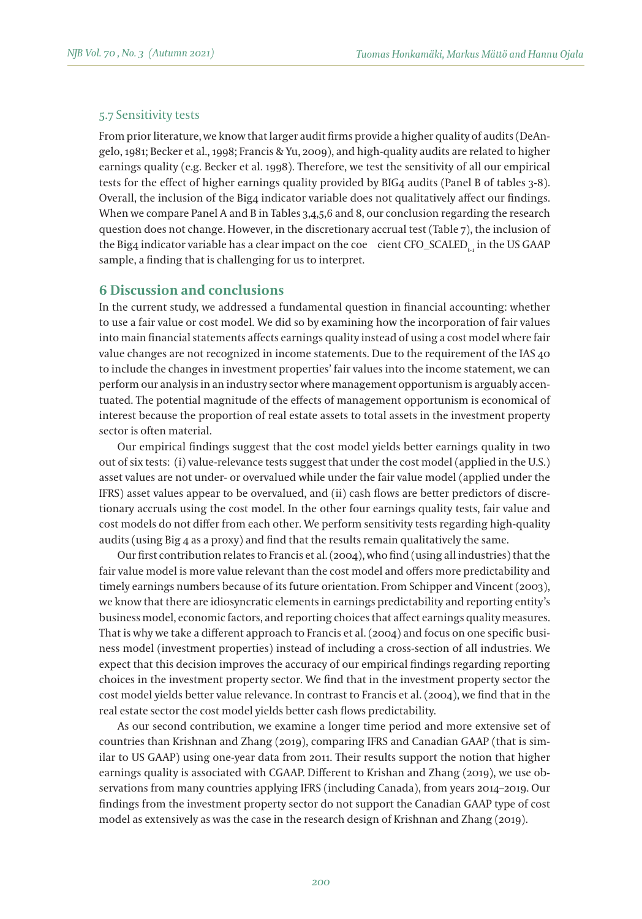## 5.7 Sensitivity tests

From prior literature, we know that larger audit firms provide a higher quality of audits (DeAngelo, 1981; Becker et al., 1998; Francis & Yu, 2009), and high-quality audits are related to higher earnings quality (e.g. Becker et al. 1998). Therefore, we test the sensitivity of all our empirical tests for the effect of higher earnings quality provided by BIG4 audits (Panel B of tables 3-8). Overall, the inclusion of the Big4 indicator variable does not qualitatively affect our findings. When we compare Panel A and B in Tables 3,4,5,6 and 8, our conclusion regarding the research question does not change. However, in the discretionary accrual test (Table 7), the inclusion of the Big4 indicator variable has a clear impact on the coe cient CFO\_SCALED<sub>t</sub>in the US GAAP sample, a finding that is challenging for us to interpret.

## **6 Discussion and conclusions**

In the current study, we addressed a fundamental question in financial accounting: whether to use a fair value or cost model. We did so by examining how the incorporation of fair values into main financial statements affects earnings quality instead of using a cost model where fair value changes are not recognized in income statements. Due to the requirement of the IAS 40 to include the changes in investment properties' fair values into the income statement, we can perform our analysis in an industry sector where management opportunism is arguably accentuated. The potential magnitude of the effects of management opportunism is economical of interest because the proportion of real estate assets to total assets in the investment property sector is often material.

Our empirical findings suggest that the cost model yields better earnings quality in two out of six tests: (i) value-relevance tests suggest that under the cost model (applied in the U.S.) asset values are not under- or overvalued while under the fair value model (applied under the IFRS) asset values appear to be overvalued, and (ii) cash flows are better predictors of discretionary accruals using the cost model. In the other four earnings quality tests, fair value and cost models do not differ from each other. We perform sensitivity tests regarding high-quality audits (using Big 4 as a proxy) and find that the results remain qualitatively the same.

Our first contribution relates to Francis et al. (2004), who find (using all industries) that the fair value model is more value relevant than the cost model and offers more predictability and timely earnings numbers because of its future orientation. From Schipper and Vincent (2003), we know that there are idiosyncratic elements in earnings predictability and reporting entity's business model, economic factors, and reporting choices that affect earnings quality measures. That is why we take a different approach to Francis et al. (2004) and focus on one specific business model (investment properties) instead of including a cross-section of all industries. We expect that this decision improves the accuracy of our empirical findings regarding reporting choices in the investment property sector. We find that in the investment property sector the cost model yields better value relevance. In contrast to Francis et al. (2004), we find that in the real estate sector the cost model yields better cash flows predictability.

As our second contribution, we examine a longer time period and more extensive set of countries than Krishnan and Zhang (2019), comparing IFRS and Canadian GAAP (that is similar to US GAAP) using one-year data from 2011. Their results support the notion that higher earnings quality is associated with CGAAP. Different to Krishan and Zhang (2019), we use observations from many countries applying IFRS (including Canada), from years 2014–2019. Our findings from the investment property sector do not support the Canadian GAAP type of cost model as extensively as was the case in the research design of Krishnan and Zhang (2019).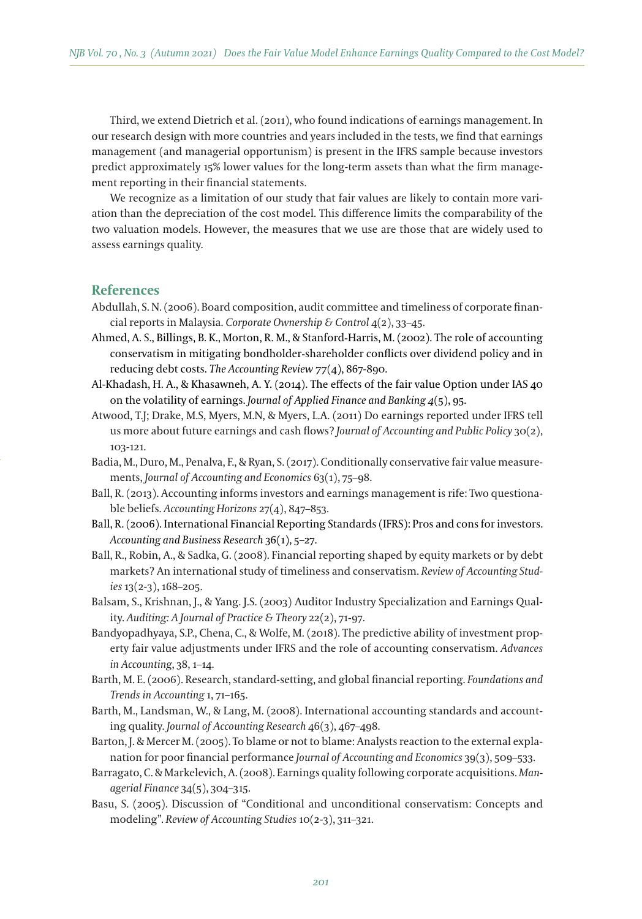Third, we extend Dietrich et al. (2011), who found indications of earnings management. In our research design with more countries and years included in the tests, we find that earnings management (and managerial opportunism) is present in the IFRS sample because investors predict approximately 15% lower values for the long-term assets than what the firm management reporting in their financial statements.

We recognize as a limitation of our study that fair values are likely to contain more variation than the depreciation of the cost model. This difference limits the comparability of the two valuation models. However, the measures that we use are those that are widely used to assess earnings quality.

## **References**

- Abdullah, S. N. (2006). Board composition, audit committee and timeliness of corporate financial reports in Malaysia. *Corporate Ownership & Control* 4(2), 33–45.
- Ahmed, A. S., Billings, B. K., Morton, R. M., & Stanford-Harris, M. (2002). The role of accounting conservatism in mitigating bondholder-shareholder conflicts over dividend policy and in reducing debt costs. *The Accounting Review 77*(4), 867-890.
- Al-Khadash, H. A., & Khasawneh, A. Y. (2014). The effects of the fair value Option under IAS 40 on the volatility of earnings. *Journal of Applied Finance and Banking 4*(5), 95.
- Atwood, T.J; Drake, M.S, Myers, M.N, & Myers, L.A. (2011) Do earnings reported under IFRS tell us more about future earnings and cash flows? *Journal of Accounting and Public Policy* 30(2), 103-121.
- Badia, M., Duro, M., Penalva, F., & Ryan, S. (2017). Conditionally conservative fair value measurements, *Journal of Accounting and Economics* 63(1), 75–98.
- Ball, R. (2013). Accounting informs investors and earnings management is rife: Two questionable beliefs. *Accounting Horizons* 27(4), 847–853.
- Ball, R. (2006). International Financial Reporting Standards (IFRS): Pros and cons for investors. *Accounting and Business Research* 36(1), 5–27.
- Ball, R., Robin, A., & Sadka, G. (2008). Financial reporting shaped by equity markets or by debt markets? An international study of timeliness and conservatism. *Review of Accounting Studies* 13(2-3), 168–205.
- Balsam, S., Krishnan, J., & Yang. J.S. (2003) Auditor Industry Specialization and Earnings Quality. *Auditing: A Journal of Practice & Theory* 22(2), 71-97.
- Bandyopadhyaya, S.P., Chena, C., & Wolfe, M. (2018). The predictive ability of investment property fair value adjustments under IFRS and the role of accounting conservatism. *Advances in Accounting*, 38, 1–14.
- Barth, M. E. (2006). Research, standard-setting, and global financial reporting. *Foundations and Trends in Accounting* 1, 71–165.
- Barth, M., Landsman, W., & Lang, M. (2008). International accounting standards and accounting quality. *Journal of Accounting Research* 46(3), 467–498.
- Barton, J. & Mercer M. (2005). To blame or not to blame: Analysts reaction to the external explanation for poor financial performance *Journal of Accounting and Economics* 39(3), 509–533.
- Barragato, C. & Markelevich, A. (2008). Earnings quality following corporate acquisitions. *Managerial Finance* 34(5), 304–315.
- Basu, S. (2005). Discussion of "Conditional and unconditional conservatism: Concepts and modeling". *Review of Accounting Studies* 10(2-3), 311–321.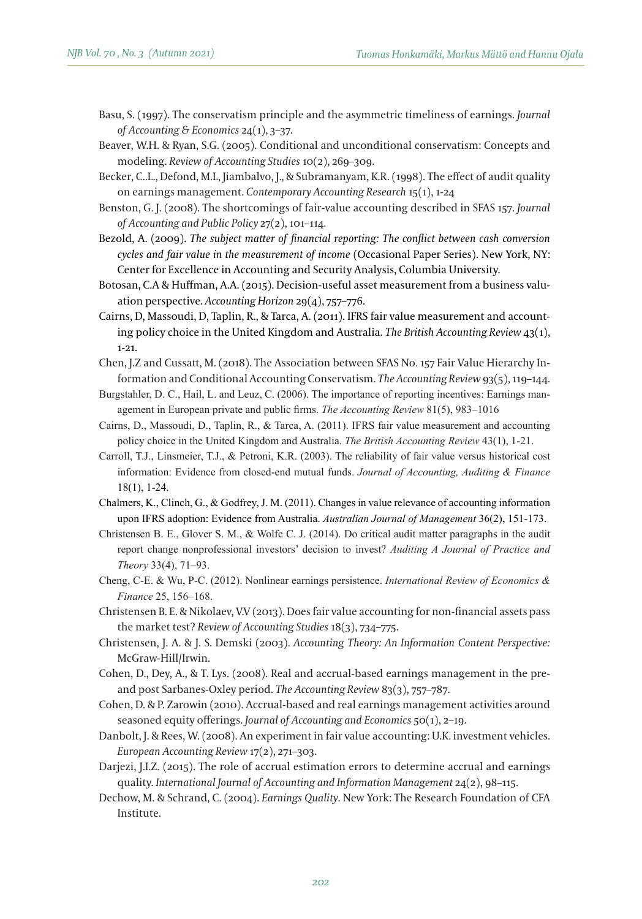- Basu, S. (1997). The conservatism principle and the asymmetric timeliness of earnings. *Journal of Accounting & Economics* 24(1), 3–37.
- Beaver, W.H. & Ryan, S.G. (2005). Conditional and unconditional conservatism: Concepts and modeling. *Review of Accounting Studies* 10(2), 269–309.
- Becker, C..L., Defond, M.L, Jiambalvo, J., & Subramanyam, K.R. (1998). The effect of audit quality on earnings management. *Contemporary Accounting Research* 15(1), 1-24
- Benston, G. J. (2008). The shortcomings of fair-value accounting described in SFAS 157. *Journal of Accounting and Public Policy* 27(2), 101–114.
- Bezold, A. (2009). *The subject matter of financial reporting: The conflict between cash conversion cycles and fair value in the measurement of income* (Occasional Paper Series). New York, NY: Center for Excellence in Accounting and Security Analysis, Columbia University.
- Botosan, C.A & Huffman, A.A. (2015). Decision-useful asset measurement from a business valuation perspective. *Accounting Horizon* 29(4), 757–776.
- Cairns, D, Massoudi, D, Taplin, R., & Tarca, A. (2011). IFRS fair value measurement and accounting policy choice in the United Kingdom and Australia. *The British Accounting Review* 43(1), 1-21.
- Chen, J.Z and Cussatt, M. (2018). The Association between SFAS No. 157 Fair Value Hierarchy Information and Conditional Accounting Conservatism. *The Accounting Review* 93(5), 119–144.
- Burgstahler, D. C., Hail, L. and Leuz, C. (2006). The importance of reporting incentives: Earnings management in European private and public firms. The Accounting Review 81(5), 983–1016
- Cairns, D., Massoudi, D., Taplin, R., & Tarca, A. (2011). IFRS fair value measurement and accounting policy choice in the United Kingdom and Australia. *The British Accounting Review* 43(1), 1-21.
- Carroll, T.J., Linsmeier, T.J., & Petroni, K.R. (2003). The reliability of fair value versus historical cost information: Evidence from closed-end mutual funds. Journal of Accounting, Auditing & Finance 18(1), 1-24.
- Chalmers, K., Clinch, G., & Godfrey, J. M. (2011). Changes in value relevance of accounting information upon IFRS adoption: Evidence from Australia. Australian Journal of Management 36(2), 151-173.
- Christensen B. E., Glover S. M., & Wolfe C. J. (2014). Do critical audit matter paragraphs in the audit report change nonprofessional investors' decision to invest? Auditing A Journal of Practice and *Theory* 33(4), 71–93.
- Cheng, C-E. & Wu, P-C. (2012). Nonlinear earnings persistence. *International Review of Economics & Finance* 25, 156–168.
- Christensen B. E. & Nikolaev, V.V (2013). Does fair value accounting for non-financial assets pass the market test? *Review of Accounting Studies* 18(3), 734–775.
- Christensen, J. A. & J. S. Demski (2003). *Accounting Theory: An Information Content Perspective:* McGraw-Hill/Irwin.
- Cohen, D., Dey, A., & T. Lys. (2008). Real and accrual-based earnings management in the preand post Sarbanes-Oxley period. *The Accounting Review* 83(3), 757–787.
- Cohen, D. & P. Zarowin (2010). Accrual-based and real earnings management activities around seasoned equity offerings. *Journal of Accounting and Economics* 50(1), 2–19.
- Danbolt, J. & Rees, W. (2008). An experiment in fair value accounting: U.K. investment vehicles. *European Accounting Review* 17(2), 271–303.
- Darjezi, J.I.Z. (2015). The role of accrual estimation errors to determine accrual and earnings quality. *International Journal of Accounting and Information Management* 24(2), 98–115.
- Dechow, M. & Schrand, C. (2004). *Earnings Quality*. New York: The Research Foundation of CFA Institute.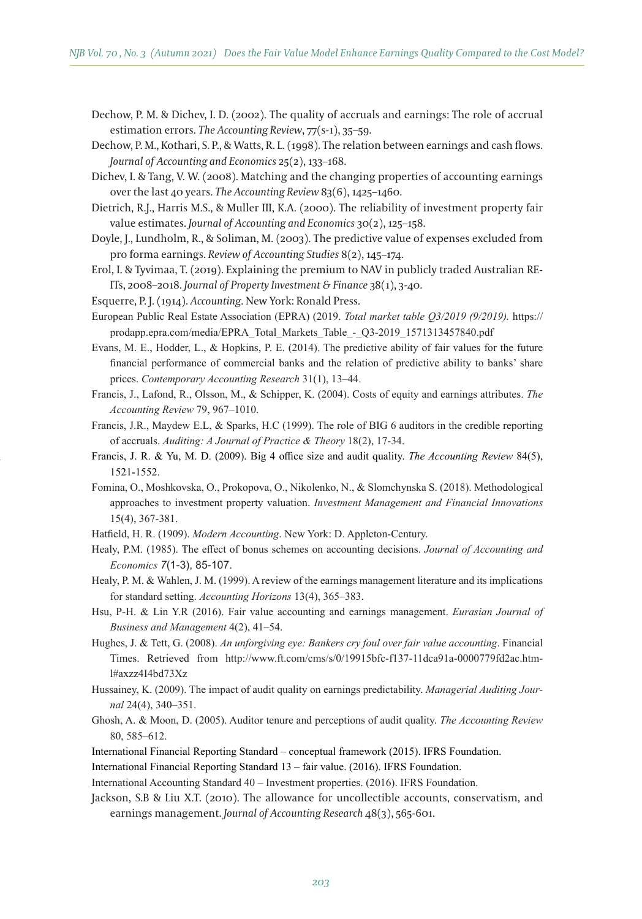- Dechow, P. M. & Dichev, I. D. (2002). The quality of accruals and earnings: The role of accrual estimation errors. *The Accounting Review*, 77(s-1), 35–59.
- Dechow, P. M., Kothari, S. P., & Watts, R. L. (1998). The relation between earnings and cash flows. *Journal of Accounting and Economics* 25(2), 133–168.
- Dichev, I. & Tang, V. W. (2008). Matching and the changing properties of accounting earnings over the last 40 years. *The Accounting Review* 83(6), 1425–1460.
- Dietrich, R.J., Harris M.S., & Muller III, K.A. (2000). The reliability of investment property fair value estimates. *Journal of Accounting and Economics* 30(2), 125–158.
- Doyle, J., Lundholm, R., & Soliman, M. (2003). The predictive value of expenses excluded from pro forma earnings. *Review of Accounting Studies* 8(2), 145–174.
- Erol, I. & Tyvimaa, T. (2019). Explaining the premium to NAV in publicly traded Australian RE-ITs, 2008–2018. *Journal of Property Investment & Finance* 38(1), 3-40.
- Esquerre, P. J. (1914). *Accounting*. New York: Ronald Press.
- European Public Real Estate Association (EPRA) (2019. Total market table Q3/2019 (9/2019). https:// prodapp.epra.com/media/EPRA Total Markets Table - Q3-2019 1571313457840.pdf
- Evans, M. E., Hodder, L., & Hopkins, P. E.  $(2014)$ . The predictive ability of fair values for the future financial performance of commercial banks and the relation of predictive ability to banks' share prices. *Contemporary Accounting Research* 31(1), 13–44.
- Francis, J., Lafond, R., Olsson, M., & Schipper, K. (2004). Costs of equity and earnings attributes. The *Accounting Review* 79, 967–1010.
- Francis, J.R., Maydew E.L.,  $\&$  Sparks, H.C (1999). The role of BIG 6 auditors in the credible reporting of accruals. *Auditing: A Journal of Practice & Theory* 18(2), 17-34.
- Francis, J. R. & Yu, M. D. (2009). Big 4 office size and audit quality. *The Accounting Review* 84(5), 1521-1552.
- Fomina, O., Moshkovska, O., Prokopova, O., Nikolenko, N., & Slomchynska S. (2018). Methodological approaches to investment property valuation. *Investment Management and Financial Innovations* 15(4), 367-381.
- Hatfield, H. R. (1909). Modern Accounting. New York: D. Appleton-Century.
- Healy, P.M. (1985). The effect of bonus schemes on accounting decisions. Journal of Accounting and *Economics 7*(1-3), 85-107.
- Healy, P. M. & Wahlen, J. M. (1999). A review of the earnings management literature and its implications for standard setting. *Accounting Horizons* 13(4), 365–383.
- Hsu, P-H. & Lin Y.R (2016). Fair value accounting and earnings management. *Eurasian Journal of Business and Management* 4(2), 41–54.
- Hughes, J. & Tett, G. (2008). *An unforgiving eye: Bankers cry foul over fair value accounting*. Financial Times. Retrieved from http://www.ft.com/cms/s/0/19915bfc-f137-11dca91a-0000779fd2ac.html#axzz4I4bd73Xz
- Hussainey, K. (2009). The impact of audit quality on earnings predictability. *Managerial Auditing Journal* 24(4), 340–351.
- Ghosh, A. & Moon, D. (2005). Auditor tenure and perceptions of audit quality. *The Accounting Review* 80, 585–612.
- International Financial Reporting Standard conceptual framework (2015). IFRS Foundation.
- International Financial Reporting Standard 13 fair value. (2016). IFRS Foundation.

International Accounting Standard 40 - Investment properties. (2016). IFRS Foundation.

Jackson, S.B & Liu X.T. (2010). The allowance for uncollectible accounts, conservatism, and earnings management. *Journal of Accounting Research* 48(3), 565-601.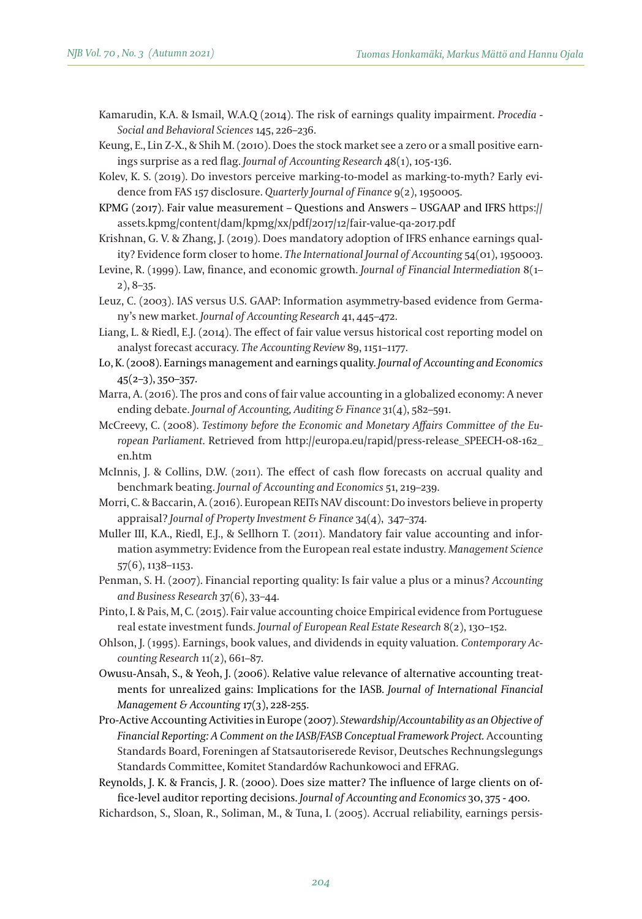Kamarudin, K.A. & Ismail, W.A.Q (2014). The risk of earnings quality impairment. *Procedia - Social and Behavioral Sciences* 145, 226–236.

Keung, E., Lin Z-X., & Shih M. (2010). Does the stock market see a zero or a small positive earnings surprise as a red flag. *Journal of Accounting Research* 48(1), 105-136.

Kolev, K. S. (2019). Do investors perceive marking-to-model as marking-to-myth? Early evidence from FAS 157 disclosure. *Quarterly Journal of Finance* 9(2), 1950005.

KPMG  $(2017)$ . Fair value measurement – Questions and Answers – USGAAP and IFRS https:// assets.kpmg/content/dam/kpmg/xx/pdf/2017/12/fair-value-qa-2017.pdf

Krishnan, G. V. & Zhang, J. (2019). Does mandatory adoption of IFRS enhance earnings quality? Evidence form closer to home. *The International Journal of Accounting* 54(01), 1950003.

Levine, R. (1999). Law, finance, and economic growth. *Journal of Financial Intermediation* 8(1– 2), 8–35.

Leuz, C. (2003). IAS versus U.S. GAAP: Information asymmetry-based evidence from Germany's new market. *Journal of Accounting Research* 41, 445–472.

Liang, L. & Riedl, E.J. (2014). The effect of fair value versus historical cost reporting model on analyst forecast accuracy. *The Accounting Review* 89, 1151–1177.

Lo, K. (2008). Earnings management and earnings quality. *Journal of Accounting and Economics* 45(2–3), 350–357.

- Marra, A. (2016). The pros and cons of fair value accounting in a globalized economy: A never ending debate. *Journal of Accounting, Auditing & Finance* 31(4), 582–591.
- McCreevy, C. (2008). *Testimony before the Economic and Monetary Affairs Commi!ee of the Eu*ropean Parliament. Retrieved from http://europa.eu/rapid/press-release\_SPEECH-08-162\_ en.htm
- McInnis, J. & Collins, D.W. (2011). The effect of cash flow forecasts on accrual quality and benchmark beating. *Journal of Accounting and Economics* 51, 219–239.
- Morri, C. & Baccarin, A. (2016). European REITs NAV discount: Do investors believe in property appraisal? *Journal of Property Investment & Finance* 34(4), 347–374.
- Muller III, K.A., Riedl, E.J., & Sellhorn T. (2011). Mandatory fair value accounting and information asymmetry: Evidence from the European real estate industry. *Management Science* 57(6), 1138–1153.
- Penman, S. H. (2007). Financial reporting quality: Is fair value a plus or a minus? *Accounting and Business Research* 37(6), 33–44.
- Pinto, I. & Pais, M, C. (2015). Fair value accounting choice Empirical evidence from Portuguese real estate investment funds. *Journal of European Real Estate Research* 8(2), 130–152.
- Ohlson, J. (1995). Earnings, book values, and dividends in equity valuation. *Contemporary Accounting Research* 11(2), 661–87.
- Owusu-Ansah, S., & Yeoh, J. (2006). Relative value relevance of alternative accounting treatments for unrealized gains: Implications for the IASB. *Journal of International Financial Management & Accounting* 17(3), 228-255.
- Pro-Active Accounting Activities in Europe (2007). *Stewardship/Accountability as an Objective of Financial Reporting: A Comment on the IASB/FASB Conceptual Framework Project.* Accounting Standards Board, Foreningen af Statsautoriserede Revisor, Deutsches Rechnungslegungs Standards Committee, Komitet Standardów Rachunkowoci and EFRAG.

Reynolds, J. K. & Francis, J. R. (2000). Does size matter? The influence of large clients on office-level auditor reporting decisions. *Journal of Accounting and Economics* 30, 375 - 400.

Richardson, S., Sloan, R., Soliman, M., & Tuna, I. (2005). Accrual reliability, earnings persis-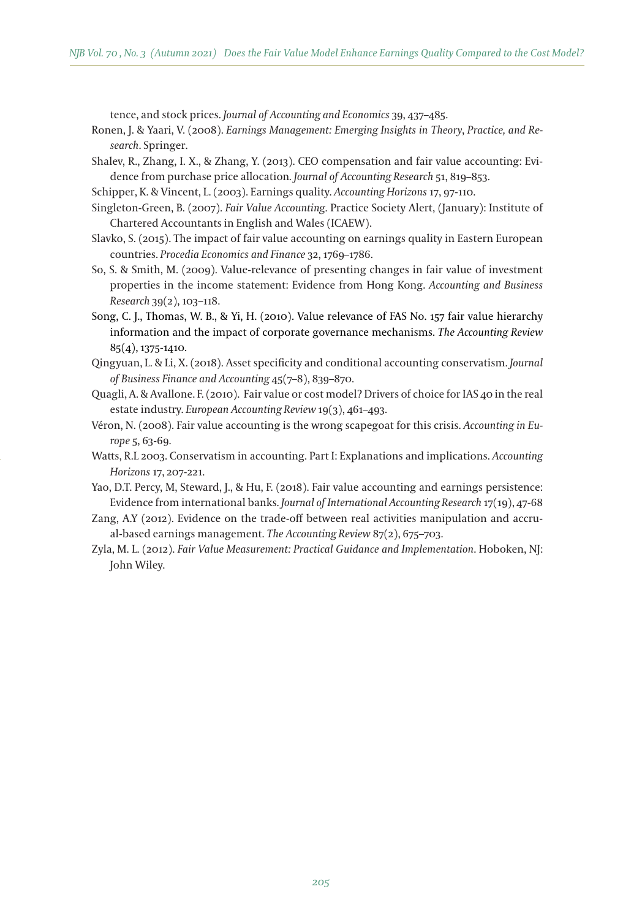tence, and stock prices. *Journal of Accounting and Economics* 39, 437–485.

- Ronen, J. & Yaari, V. (2008). *Earnings Management: Emerging Insights in Theory*, *Practice, and Research*. Springer.
- Shalev, R., Zhang, I. X., & Zhang, Y. (2013). CEO compensation and fair value accounting: Evidence from purchase price allocation*. Journal of Accounting Research* 51, 819–853.
- Schipper, K. & Vincent, L. (2003). Earnings quality. *Accounting Horizons* 17, 97-110.
- Singleton-Green, B. (2007). *Fair Value Accounting*. Practice Society Alert, (January): Institute of Chartered Accountants in English and Wales (ICAEW).
- Slavko, S. (2015). The impact of fair value accounting on earnings quality in Eastern European countries. *Procedia Economics and Finance* 32, 1769–1786.
- So, S. & Smith, M. (2009). Value-relevance of presenting changes in fair value of investment properties in the income statement: Evidence from Hong Kong. *Accounting and Business Research* 39(2), 103–118.
- Song, C. J., Thomas, W. B., & Yi, H. (2010). Value relevance of FAS No. 157 fair value hierarchy information and the impact of corporate governance mechanisms. *The Accounting Review* 85(4), 1375-1410.
- Qingyuan, L. & Li, X. (2018). Asset specificity and conditional accounting conservatism. *Journal of Business Finance and Accounting* 45(7–8), 839–870.
- Quagli, A. & Avallone. F. (2010). Fair value or cost model? Drivers of choice for IAS 40 in the real estate industry. *European Accounting Review* 19(3), 461–493.
- Véron, N. (2008). Fair value accounting is the wrong scapegoat for this crisis. *Accounting in Europe* 5, 63-69.
- Watts, R.L 2003. Conservatism in accounting. Part I: Explanations and implications. *Accounting Horizons* 17, 207-221.
- Yao, D.T. Percy, M, Steward, J., & Hu, F. (2018). Fair value accounting and earnings persistence: Evidence from international banks. *Journal of International Accounting Research* 17(19), 47-68
- Zang, A.Y (2012). Evidence on the trade-off between real activities manipulation and accrual-based earnings management. *The Accounting Review* 87(2), 675–703.
- Zyla, M. L. (2012). *Fair Value Measurement: Practical Guidance and Implementation*. Hoboken, NJ: John Wiley.